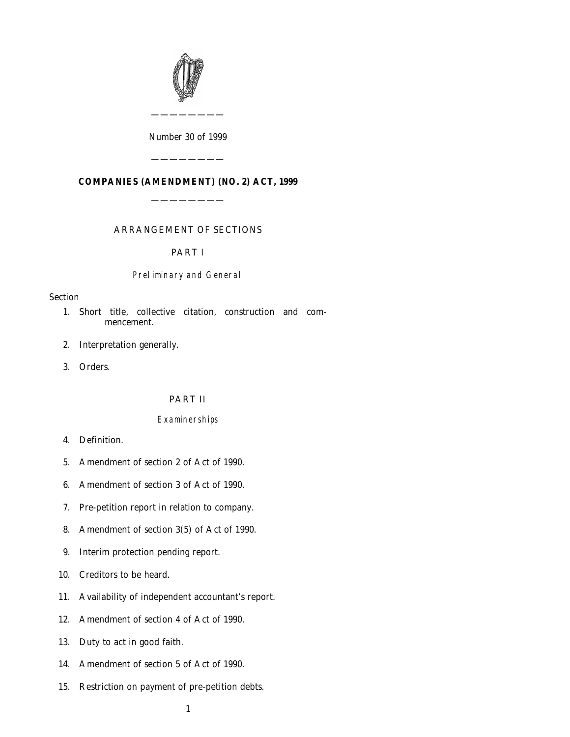

# *Number* 30 *of* 1999

————————

———————— **COMPANIES (AMENDMENT) (NO. 2) ACT, 1999**

————————

# ARRANGEMENT OF SECTIONS

# PART I

# Preliminary and General

# Section

- 1. Short title, collective citation, construction and commencement.
- [2. Interpretation generally.](#page-4-0)
- [3. Orders.](#page-5-0)

# PART II

# Examinerships

- 4. Definition.
- [5. Amendmen](#page-5-0)t of section 2 of Act of 1990.
- [6. Amendment of section 3 of Act of 199](#page-5-0)0.
- [7. Pre-petition report in relation to compa](#page-6-0)ny.
- [8. Amendment of section 3\(5\) of Act of 199](#page-7-0)0.
- [9. Interim protection pending report.](#page-8-0)
- [10. Creditors to be heard.](#page-9-0)
- [11. Availability of indep](#page-10-0)endent accountant's report.
- [12. Amendment of section 4 of Act of 1990.](#page-10-0)
- [13. Duty to act in good faith.](#page-10-0)
- [14. Amendment of section 5](#page-11-0) of Act of 1990.
- [15. Restriction on payment of pre-petition](#page-11-0) debts.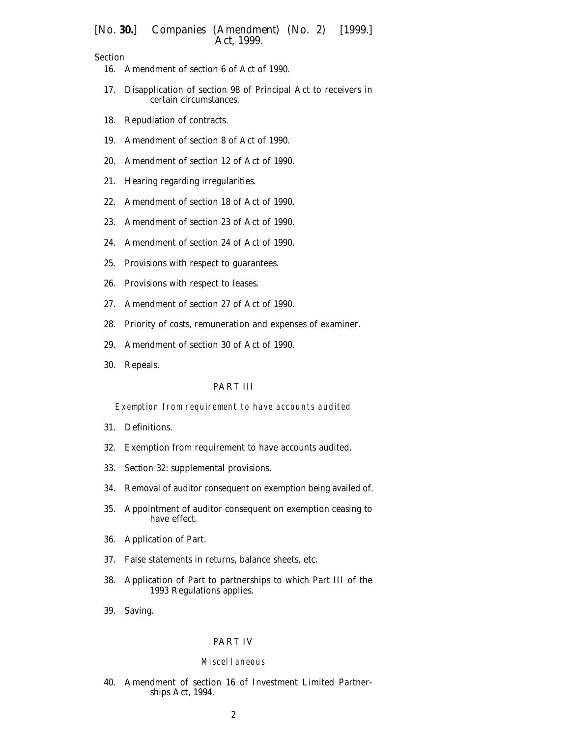# [*No.* **30.**] *Companies (Amendment) (No. 2)* [1999.] *Act,* 1999.

Section

- 16. Amendment of section 6 of Act of 1990.
- [17. Disapplication of section 98 of Principal](#page-12-0) Act to receivers in certain circumstances.
- [18. Repudiation of contracts.](#page-13-0)
- [19. Amendment of section 8 of](#page-13-0) Act of 1990.
- [20. Amendment of section 12 of Act of 1990.](#page-14-0)
- [21. Hearing regarding irregularities.](#page-14-0)
- [22. Amendment of section 18 of Act o](#page-15-0)f 1990.
- [23. Amendment of section 23 of Act of 1990.](#page-16-0)
- [24. Amendment of section 24 of Act of 1990.](#page-18-0)
- [25. Provisions with respect to guarantees.](#page-18-0)
- [26. Provisions with respect to leases.](#page-19-0)
- [27. Amendment of section 27 of Act](#page-21-0) of 1990.
- [28. Priority of costs, remuneration and expens](#page-22-0)es of examiner.
- [29. Amendment of section 30 of Act of 1990.](#page-22-0)
- [30. Repeals.](#page-22-0)

# PART III

Exemption from requirement to have accounts audited

- 31. Definitions.
- [32. Exemption f](#page-23-0)rom requirement to have accounts audited.
- 33. *Section 32*[: supplemental provisions.](#page-23-0)
- [34. Removal of auditor consequent on exe](#page-25-0)mption being availed of.
- [35. Appointment of auditor consequent on exemption ceasing to](#page-26-0) have effect.
- [36. Application of Part.](#page-27-0)
- [37. False statements in r](#page-27-0)eturns, balance sheets, etc.
- [38. Application of Part to partnerships to which Par](#page-27-0)t III of the 1993 Regulations applies.
- [39. Saving.](#page-27-0)

# PART IV

# Miscellaneous

40. Amendment of section 16 of Investment Limited Partnerships Act, 1994.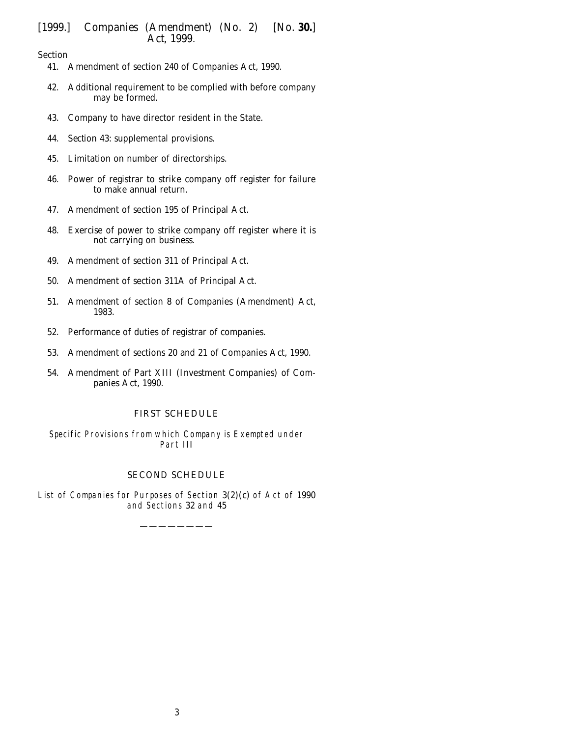Section

- 41. Amendment of section 240 of Companies Act, 1990.
- [42. Additional requirement to be complied with before company](#page-28-0) may be formed.
- [43. Company to have director resident in the State.](#page-28-0)
- 44. *Section 43*[: supplemental provisions.](#page-30-0)
- [45. Limitation on number of directorship](#page-33-0)s.
- [46. Power of registrar to strike company o](#page-34-0)ff register for failure to make annual return.
- [47. Amendment of section 195 of Principal Act.](#page-37-0)
- [48. Exercise of power to strike company off regist](#page-41-0)er where it is not carrying on business.
- [49. Amendment of section 311 of Principal Act.](#page-42-0)
- [50. Amendment of section 311A of Principal Act.](#page-42-0)
- [51. Amendment of section 8 of Companies \(Ame](#page-43-0)ndment) Act, 1983.
- [52. Performance of duties of registrar of companies.](#page-43-0)
- [53. Amendment of sections 20 and 21 of Companies A](#page-43-0)ct, 1990.
- [54. Amendment of Part XIII \(Investment Companies\) of Com](#page-43-0)panies Act, 1990.

# [FIRST SCHEDULE](#page-45-0)

Specific Provisions [from which Company i](#page-47-0)s Exempted under Part *III*

# SECOND SCHEDULE

List of Companies [for Purposes of Section](#page-47-0) 3(2)(*c*) of Act of 1990 and Sections *32* and *45*

————————

3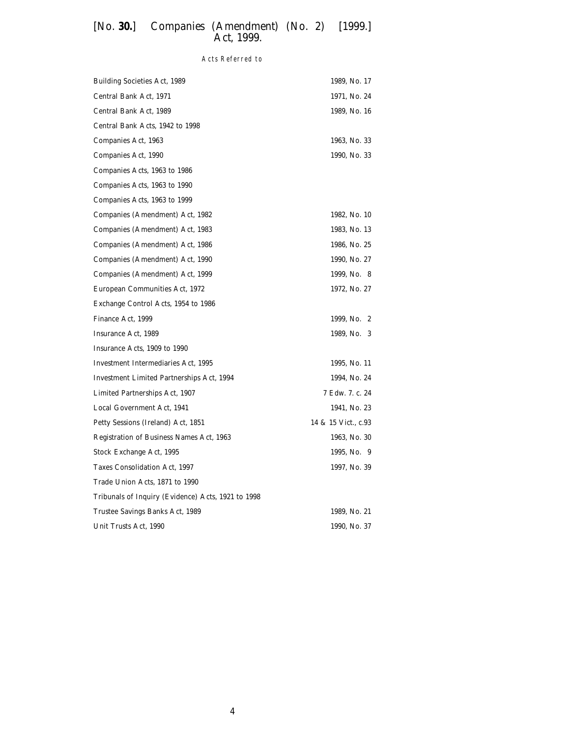# [*No.* **30.**] *Companies (Amendment) (No. 2)* [1999.] *Act,* 1999.

Acts Referred to

| <b>Building Societies Act, 1989</b>                | 1989, No. 17        |
|----------------------------------------------------|---------------------|
| Central Bank Act, 1971                             | 1971, No. 24        |
| Central Bank Act, 1989                             | 1989, No. 16        |
| Central Bank Acts, 1942 to 1998                    |                     |
| Companies Act, 1963                                | 1963, No. 33        |
| Companies Act, 1990                                | 1990, No. 33        |
| Companies Acts, 1963 to 1986                       |                     |
| Companies Acts, 1963 to 1990                       |                     |
| Companies Acts, 1963 to 1999                       |                     |
| Companies (Amendment) Act, 1982                    | 1982, No. 10        |
| Companies (Amendment) Act, 1983                    | 1983, No. 13        |
| Companies (Amendment) Act, 1986                    | 1986, No. 25        |
| Companies (Amendment) Act, 1990                    | 1990, No. 27        |
| Companies (Amendment) Act, 1999                    | 1999, No. 8         |
| European Communities Act, 1972                     | 1972, No. 27        |
| Exchange Control Acts, 1954 to 1986                |                     |
| Finance Act, 1999                                  | 1999, No. 2         |
| Insurance Act, 1989                                | 1989, No. 3         |
| Insurance Acts, 1909 to 1990                       |                     |
| <b>Investment Intermediaries Act, 1995</b>         | 1995, No. 11        |
| <b>Investment Limited Partnerships Act, 1994</b>   | 1994, No. 24        |
| Limited Partnerships Act, 1907                     | 7 Edw. 7. c. 24     |
| Local Government Act, 1941                         | 1941, No. 23        |
| Petty Sessions (Ireland) Act, 1851                 | 14 & 15 Vict., c.93 |
| Registration of Business Names Act, 1963           | 1963, No. 30        |
| Stock Exchange Act, 1995                           | 1995, No. 9         |
| Taxes Consolidation Act, 1997                      | 1997, No. 39        |
| Trade Union Acts, 1871 to 1990                     |                     |
| Tribunals of Inquiry (Evidence) Acts, 1921 to 1998 |                     |
| Trustee Savings Banks Act, 1989                    | 1989, No. 21        |
| Unit Trusts Act, 1990                              | 1990, No. 37        |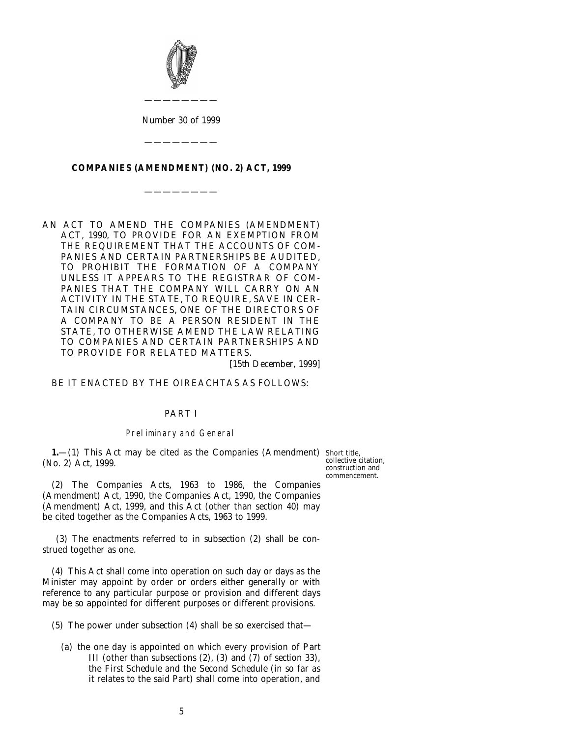<span id="page-4-0"></span>

*Number* 30 *of* 1999

**COMPANIES (AMENDMENT) (NO. 2) ACT, 1999**

————————

————————

AN ACT TO AMEND THE COMPANIES (AMENDMENT) ACT, 1990, TO PROVIDE FOR AN EXEMPTION FROM THE REQUIREMENT THAT THE ACCOUNTS OF COM-PANIES AND CERTAIN PARTNERSHIPS BE AUDITED, TO PROHIBIT THE FORMATION OF A COMPANY UNLESS IT APPEARS TO THE REGISTRAR OF COM-PANIES THAT THE COMPANY WILL CARRY ON AN ACTIVITY IN THE STATE, TO REQUIRE, SAVE IN CER-TAIN CIRCUMSTANCES, ONE OF THE DIRECTORS OF A COMPANY TO BE A PERSON RESIDENT IN THE STATE, TO OTHERWISE AMEND THE LAW RELATING TO COMPANIES AND CERTAIN PARTNERSHIPS AND TO PROVIDE FOR RELATED MATTERS.

[15*th December*, 1999]

BE IT ENACTED BY THE OIREACHTAS AS FOLLOWS:

# PART I

#### Preliminary and General

**1.**—(1) This Act may be cited as the Companies (Amendment) Short title, (No. 2) Act, 1999.

collective citation, construction and commencement.

(2) The Companies Acts, 1963 to 1986, the Companies (Amendment) Act, 1990, the Companies Act, 1990, the Companies (Amendment) Act, 1999, and this Act (other than *section 40*) may be cited together as the Companies Acts, 1963 to 1999.

(3) The enactments referred to in *subsection (2)* shall be construed together as one.

(4) This Act shall come into operation on such day or days as the Minister may appoint by order or orders either generally or with reference to any particular purpose or provision and different days may be so appointed for different purposes or different provisions.

(5) The power under *subsection (4)* shall be so exercised that—

(*a*) the one day is appointed on which every provision of *Part III* (other than *subsections (2)*, *(3)* and *(7)* of *section 33*), the *First Schedule* and the *Second Schedule* (in so far as it relates to the said Part) shall come into operation, and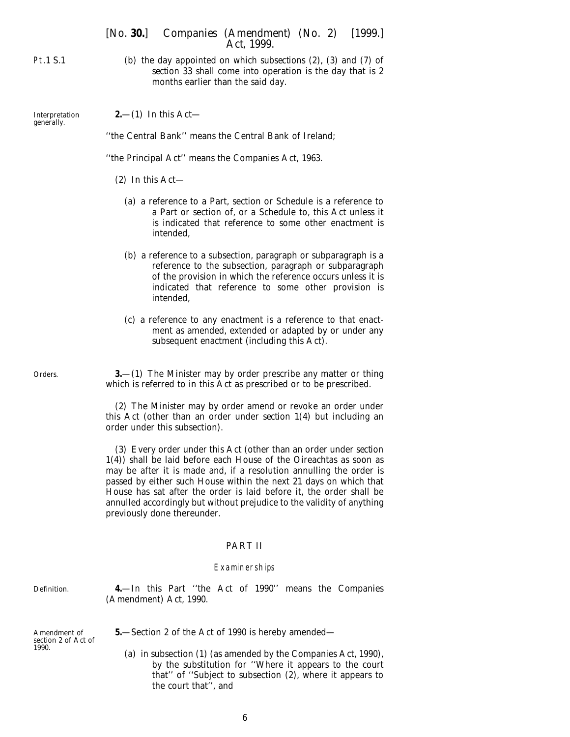<span id="page-5-0"></span>Pt.1 S.1

[*No.* **30.**] *Companies (Amendment) (No. 2)* [1999.] *Act,* 1999.

(*b*) the day appointed on which *subsections (2)*, *(3)* and *(7)* of *section 33* shall come into operation is the day that is 2 months earlier than the said day.

Interpretation generally.

**2.**—(1) In this Act—

''the Central Bank'' means the Central Bank of Ireland;

''the Principal Act'' means the Companies Act, 1963.

- (2) In this Act—
	- (*a*) a reference to a Part, section or Schedule is a reference to a Part or section of, or a Schedule to, this Act unless it is indicated that reference to some other enactment is intended,
	- (*b*) a reference to a subsection, paragraph or subparagraph is a reference to the subsection, paragraph or subparagraph of the provision in which the reference occurs unless it is indicated that reference to some other provision is intended,
	- (*c*) a reference to any enactment is a reference to that enactment as amended, extended or adapted by or under any subsequent enactment (including this Act).

Orders.

**3.**—(1) The Minister may by order prescribe any matter or thing which is referred to in this Act as prescribed or to be prescribed.

(2) The Minister may by order amend or revoke an order under this Act (other than an order under *section 1(4)* but including an order under this subsection).

(3) Every order under this Act (other than an order under *section 1(4)*) shall be laid before each House of the Oireachtas as soon as may be after it is made and, if a resolution annulling the order is passed by either such House within the next 21 days on which that House has sat after the order is laid before it, the order shall be annulled accordingly but without prejudice to the validity of anything previously done thereunder.

### PART II

#### Examinerships

Definition.

**4.**—In this Part ''the Act of 1990'' means the Companies (Amendment) Act, 1990.

Amendment of section 2 of Act of 1990.

**5.**—Section 2 of the Act of 1990 is hereby amended—

(*a*) in subsection (1) (as amended by the Companies Act, 1990), by the substitution for ''Where it appears to the court that'' of ''Subject to subsection (2), where it appears to the court that'', and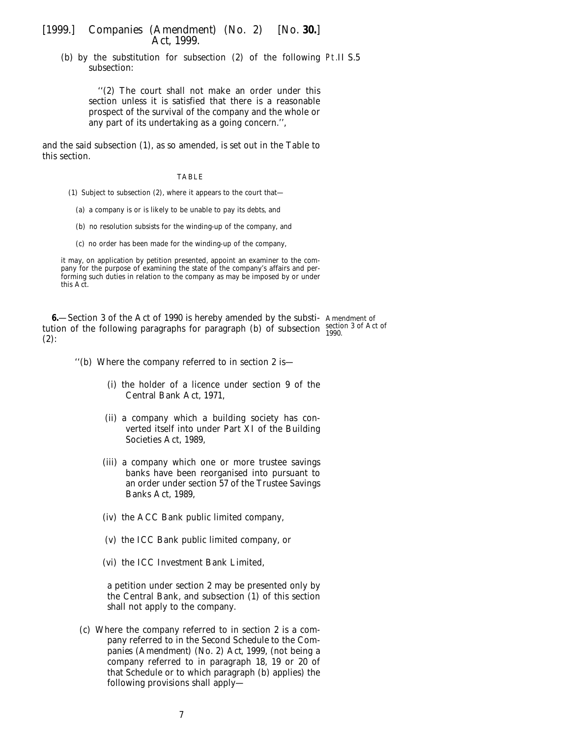<span id="page-6-0"></span>(*b*) by the substitution for subsection (2) of the following Pt.II S.5 subsection:

''(2) The court shall not make an order under this section unless it is satisfied that there is a reasonable prospect of the survival of the company and the whole or any part of its undertaking as a going concern.'',

and the said subsection (1), as so amended, is set out in the Table to this section.

#### TABLE

- (1) Subject to subsection (2), where it appears to the court that—
	- (*a*) a company is or is likely to be unable to pay its debts, and
	- (*b*) no resolution subsists for the winding-up of the company, and
	- (*c*) no order has been made for the winding-up of the company,

it may, on application by petition presented, appoint an examiner to the company for the purpose of examining the state of the company's affairs and performing such duties in relation to the company as may be imposed by or under this Act.

**6.**—Section 3 of the Act of 1990 is hereby amended by the substi- Amendment of tution of the following paragraphs for paragraph  $(b)$  of subsection  $\frac{\text{section 3 of Act of}}{1990}$ . (2):

''(*b*) Where the company referred to in section 2 is—

- (i) the holder of a licence under section 9 of the Central Bank Act, 1971,
- (ii) a company which a building society has converted itself into under Part XI of the Building Societies Act, 1989,
- (iii) a company which one or more trustee savings banks have been reorganised into pursuant to an order under section 57 of the Trustee Savings Banks Act, 1989,
- (iv) the ACC Bank public limited company,
- (v) the ICC Bank public limited company, or
- (vi) the ICC Investment Bank Limited,

a petition under section 2 may be presented only by the Central Bank, and subsection (1) of this section shall not apply to the company.

(*c*) Where the company referred to in section 2 is a company referred to in the *Second Schedule* to the *Companies (Amendment) (No. 2) Act, 1999*, (not being a company referred to in *paragraph 18*, *19* or *20* of that Schedule or to which paragraph (*b*) applies) the following provisions shall apply—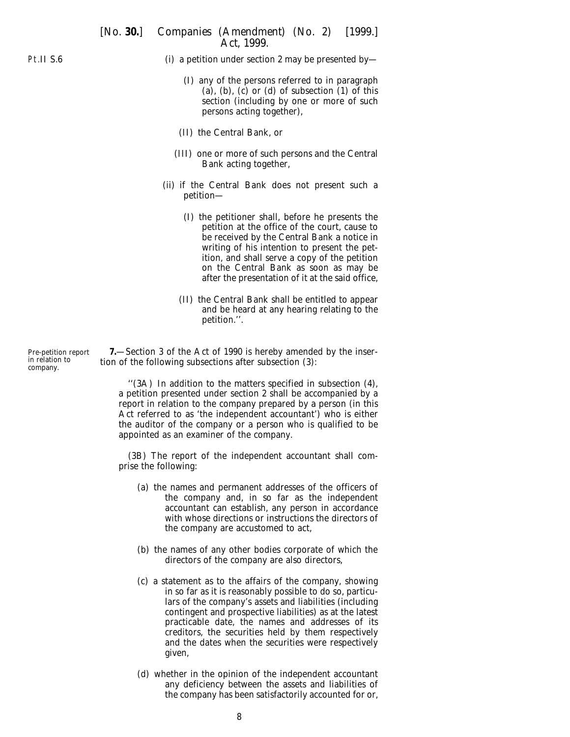- <span id="page-7-0"></span>(i) a petition under section 2 may be presented by—
	- (I) any of the persons referred to in paragraph (*a*), (*b*), (*c*) or (*d*) of subsection (1) of this section (including by one or more of such persons acting together),
	- (II) the Central Bank, or
	- (III) one or more of such persons and the Central Bank acting together,
- (ii) if the Central Bank does not present such a petition—
	- (I) the petitioner shall, before he presents the petition at the office of the court, cause to be received by the Central Bank a notice in writing of his intention to present the petition, and shall serve a copy of the petition on the Central Bank as soon as may be after the presentation of it at the said office,
	- (II) the Central Bank shall be entitled to appear and be heard at any hearing relating to the petition.''.

**7.**—Section 3 of the Act of 1990 is hereby amended by the insertion of the following subsections after subsection (3):

''(3A) In addition to the matters specified in subsection (4), a petition presented under section 2 shall be accompanied by a report in relation to the company prepared by a person (in this Act referred to as 'the independent accountant') who is either the auditor of the company or a person who is qualified to be appointed as an examiner of the company.

(3B) The report of the independent accountant shall comprise the following:

- (*a*) the names and permanent addresses of the officers of the company and, in so far as the independent accountant can establish, any person in accordance with whose directions or instructions the directors of the company are accustomed to act,
- (*b*) the names of any other bodies corporate of which the directors of the company are also directors,
- (*c*) a statement as to the affairs of the company, showing in so far as it is reasonably possible to do so, particulars of the company's assets and liabilities (including contingent and prospective liabilities) as at the latest practicable date, the names and addresses of its creditors, the securities held by them respectively and the dates when the securities were respectively given,
- (*d*) whether in the opinion of the independent accountant any deficiency between the assets and liabilities of the company has been satisfactorily accounted for or,

Pre-petition report in relation to company.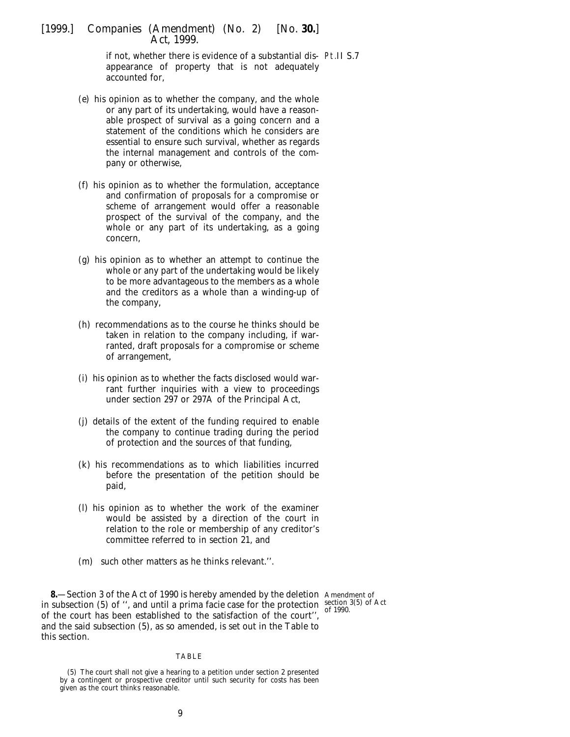<span id="page-8-0"></span>if not, whether there is evidence of a substantial dis-Pt.II S.7 appearance of property that is not adequately accounted for,

- (*e*) his opinion as to whether the company, and the whole or any part of its undertaking, would have a reasonable prospect of survival as a going concern and a statement of the conditions which he considers are essential to ensure such survival, whether as regards the internal management and controls of the company or otherwise,
- (*f*) his opinion as to whether the formulation, acceptance and confirmation of proposals for a compromise or scheme of arrangement would offer a reasonable prospect of the survival of the company, and the whole or any part of its undertaking, as a going concern,
- (*g*) his opinion as to whether an attempt to continue the whole or any part of the undertaking would be likely to be more advantageous to the members as a whole and the creditors as a whole than a winding-up of the company,
- (*h*) recommendations as to the course he thinks should be taken in relation to the company including, if warranted, draft proposals for a compromise or scheme of arrangement,
- (*i*) his opinion as to whether the facts disclosed would warrant further inquiries with a view to proceedings under section 297 or 297A of the Principal Act,
- (*j*) details of the extent of the funding required to enable the company to continue trading during the period of protection and the sources of that funding,
- (*k*) his recommendations as to which liabilities incurred before the presentation of the petition should be paid,
- (*l*) his opinion as to whether the work of the examiner would be assisted by a direction of the court in relation to the role or membership of any creditor's committee referred to in section 21, and
- (*m*) such other matters as he thinks relevant.''.

**8.**—Section 3 of the Act of 1990 is hereby amended by the deletion Amendment of in subsection  $(5)$  of ", and until a *prima facie* case for the protection  $\frac{\text{section }3(5)}{\text{of }1990}$  of Act of the court has been established to the satisfaction of the court'', and the said subsection (5), as so amended, is set out in the Table to this section.

#### TABLE

<sup>(5)</sup> The court shall not give a hearing to a petition under section 2 presented by a contingent or prospective creditor until such security for costs has been given as the court thinks reasonable.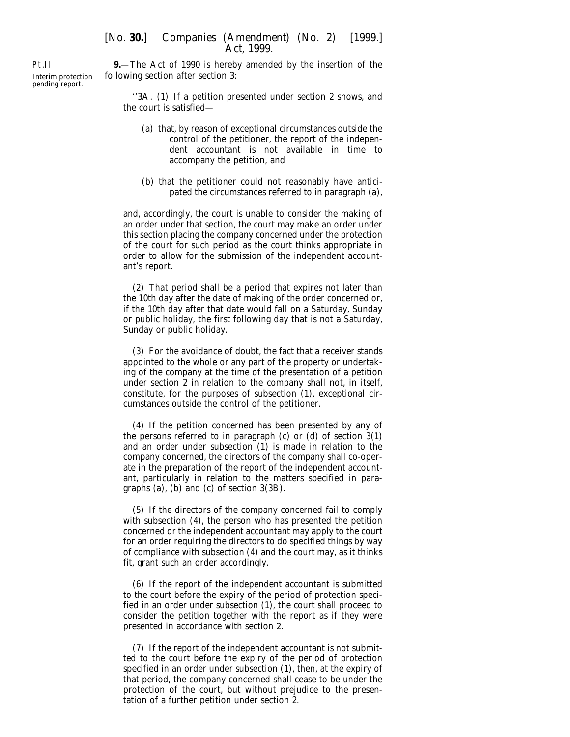<span id="page-9-0"></span>Pt.II Interim protection pending report.

**9.**—The Act of 1990 is hereby amended by the insertion of the following section after section 3:

''3A. (1) If a petition presented under section 2 shows, and the court is satisfied—

- (*a*) that, by reason of exceptional circumstances outside the control of the petitioner, the report of the independent accountant is not available in time to accompany the petition, and
- (*b*) that the petitioner could not reasonably have anticipated the circumstances referred to in paragraph (*a*),

and, accordingly, the court is unable to consider the making of an order under that section, the court may make an order under this section placing the company concerned under the protection of the court for such period as the court thinks appropriate in order to allow for the submission of the independent accountant's report.

(2) That period shall be a period that expires not later than the 10th day after the date of making of the order concerned or, if the 10th day after that date would fall on a Saturday, Sunday or public holiday, the first following day that is not a Saturday, Sunday or public holiday.

(3) For the avoidance of doubt, the fact that a receiver stands appointed to the whole or any part of the property or undertaking of the company at the time of the presentation of a petition under section 2 in relation to the company shall not, in itself, constitute, for the purposes of subsection (1), exceptional circumstances outside the control of the petitioner.

(4) If the petition concerned has been presented by any of the persons referred to in paragraph (*c*) or (*d*) of section 3(1) and an order under subsection (1) is made in relation to the company concerned, the directors of the company shall co-operate in the preparation of the report of the independent accountant, particularly in relation to the matters specified in paragraphs (*a*), (*b*) and (*c*) of section 3(3B).

(5) If the directors of the company concerned fail to comply with subsection (4), the person who has presented the petition concerned or the independent accountant may apply to the court for an order requiring the directors to do specified things by way of compliance with subsection (4) and the court may, as it thinks fit, grant such an order accordingly.

(6) If the report of the independent accountant is submitted to the court before the expiry of the period of protection specified in an order under subsection (1), the court shall proceed to consider the petition together with the report as if they were presented in accordance with section 2.

(7) If the report of the independent accountant is not submitted to the court before the expiry of the period of protection specified in an order under subsection (1), then, at the expiry of that period, the company concerned shall cease to be under the protection of the court, but without prejudice to the presentation of a further petition under section 2.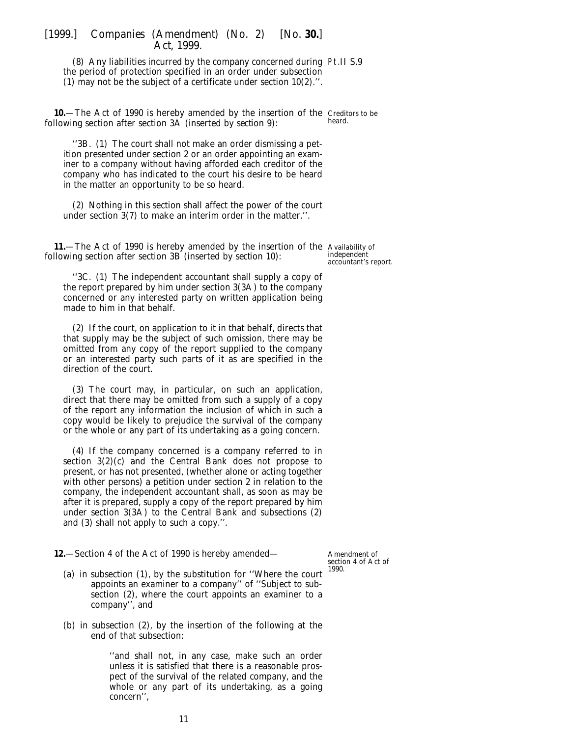<span id="page-10-0"></span>(8) Any liabilities incurred by the company concerned during Pt.II S.9 the period of protection specified in an order under subsection (1) may not be the subject of a certificate under section 10(2).''.

**10.**—The Act of 1990 is hereby amended by the insertion of the Creditors to be following section after section 3A (inserted by *section 9*):

heard.

independent accountant's report.

''3B. (1) The court shall not make an order dismissing a petition presented under section 2 or an order appointing an examiner to a company without having afforded each creditor of the company who has indicated to the court his desire to be heard in the matter an opportunity to be so heard.

(2) Nothing in this section shall affect the power of the court under section 3(7) to make an interim order in the matter.''.

**11.**—The Act of 1990 is hereby amended by the insertion of the Availability of following section after section 3B (inserted by *section 10*):

''3C. (1) The independent accountant shall supply a copy of the report prepared by him under section 3(3A) to the company concerned or any interested party on written application being made to him in that behalf.

(2) If the court, on application to it in that behalf, directs that that supply may be the subject of such omission, there may be omitted from any copy of the report supplied to the company or an interested party such parts of it as are specified in the direction of the court.

(3) The court may, in particular, on such an application, direct that there may be omitted from such a supply of a copy of the report any information the inclusion of which in such a copy would be likely to prejudice the survival of the company or the whole or any part of its undertaking as a going concern.

(4) If the company concerned is a company referred to in section 3(2)(*c*) and the Central Bank does not propose to present, or has not presented, (whether alone or acting together with other persons) a petition under section 2 in relation to the company, the independent accountant shall, as soon as may be after it is prepared, supply a copy of the report prepared by him under section 3(3A) to the Central Bank and subsections (2) and (3) shall not apply to such a copy.''.

**12.**—Section 4 of the Act of 1990 is hereby amended—

- (*a*) in subsection (1), by the substitution for ''Where the court appoints an examiner to a company'' of ''Subject to subsection (2), where the court appoints an examiner to a company'', and
- (*b*) in subsection (2), by the insertion of the following at the end of that subsection:

''and shall not, in any case, make such an order unless it is satisfied that there is a reasonable prospect of the survival of the related company, and the whole or any part of its undertaking, as a going concern'',

Amendment of section 4 of Act of 1990.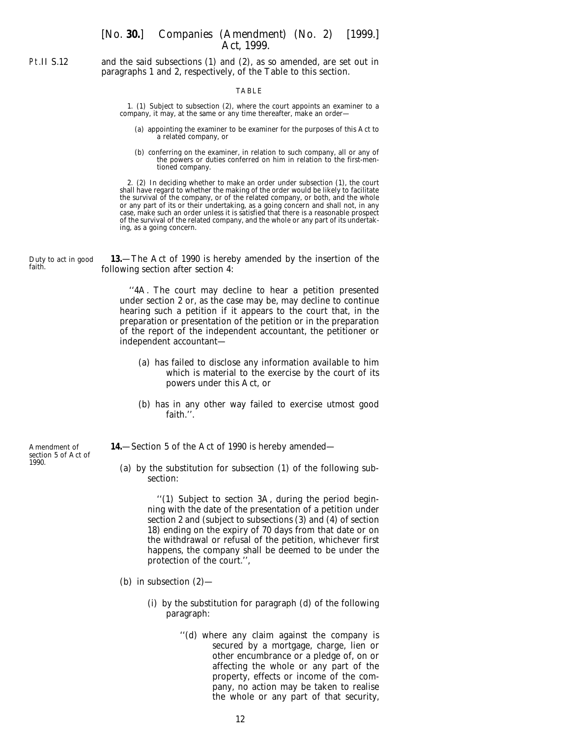<span id="page-11-0"></span>and the said subsections (1) and (2), as so amended, are set out in paragraphs 1 and 2, respectively, of the Table to this section.

#### TABLE

1. (1) Subject to subsection (2), where the court appoints an examiner to a company, it may, at the same or any time thereafter, make an order—

- (*a*) appointing the examiner to be examiner for the purposes of this Act to a related company, or
- (*b*) conferring on the examiner, in relation to such company, all or any of the powers or duties conferred on him in relation to the first-mentioned company.

2. (2) In deciding whether to make an order under subsection (1), the court shall have regard to whether the making of the order would be likely to facilitate the survival of the company, or of the related company, or both, and the whole or any part of its or their undertaking, as a going concern and shall not, in any case, make such an order unless it is satisfied that there is a reasonable prospect of the survival of the related company, and the whole or any part of its undertaking, as a going concern.

Duty to act in good faith.

**13.**—The Act of 1990 is hereby amended by the insertion of the following section after section 4:

> "4A. The court may decline to hear a petition presented under section 2 or, as the case may be, may decline to continue hearing such a petition if it appears to the court that, in the preparation or presentation of the petition or in the preparation of the report of the independent accountant, the petitioner or independent accountant—

- (*a*) has failed to disclose any information available to him which is material to the exercise by the court of its powers under this Act, or
- (*b*) has in any other way failed to exercise utmost good faith.''.

Amendment of section 5 of Act of 1990.

**14.**—Section 5 of the Act of 1990 is hereby amended—

(*a*) by the substitution for subsection (1) of the following subsection:

> ''(1) Subject to section 3A, during the period beginning with the date of the presentation of a petition under section 2 and (subject to subsections (3) and (4) of section 18) ending on the expiry of 70 days from that date or on the withdrawal or refusal of the petition, whichever first happens, the company shall be deemed to be under the protection of the court.'',

- (*b*) in subsection (2)—
	- (i) by the substitution for paragraph (*d*) of the following paragraph:
		- ''(*d*) where any claim against the company is secured by a mortgage, charge, lien or other encumbrance or a pledge of, on or affecting the whole or any part of the property, effects or income of the company, no action may be taken to realise the whole or any part of that security,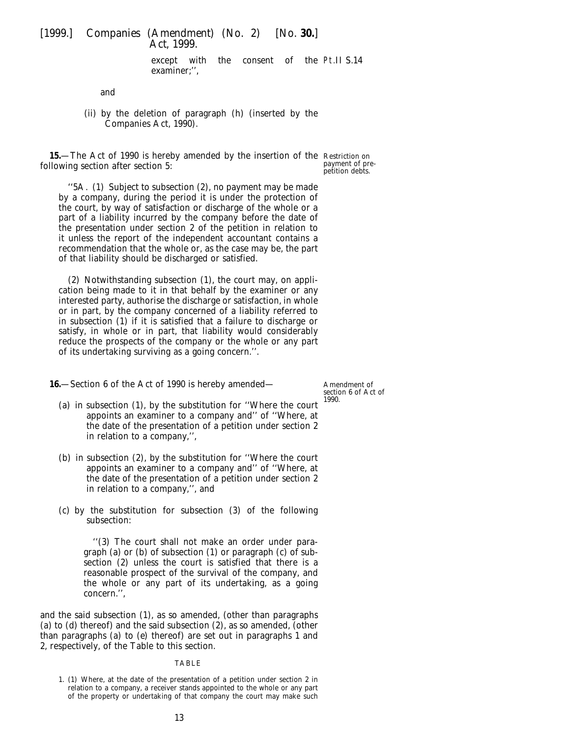except with the consent of the Pt.II S.14 examiner;'',

<span id="page-12-0"></span>and

(ii) by the deletion of paragraph (*h*) (inserted by the Companies Act, 1990).

**15.**—The Act of 1990 is hereby amended by the insertion of the Restriction on following section after section 5:

payment of prepetition debts.

''5A. (1) Subject to subsection (2), no payment may be made by a company, during the period it is under the protection of the court, by way of satisfaction or discharge of the whole or a part of a liability incurred by the company before the date of the presentation under section 2 of the petition in relation to it unless the report of the independent accountant contains a recommendation that the whole or, as the case may be, the part of that liability should be discharged or satisfied.

(2) Notwithstanding subsection (1), the court may, on application being made to it in that behalf by the examiner or any interested party, authorise the discharge or satisfaction, in whole or in part, by the company concerned of a liability referred to in subsection (1) if it is satisfied that a failure to discharge or satisfy, in whole or in part, that liability would considerably reduce the prospects of the company or the whole or any part of its undertaking surviving as a going concern.''.

**16.**—Section 6 of the Act of 1990 is hereby amended—

- (*a*) in subsection (1), by the substitution for ''Where the court appoints an examiner to a company and'' of ''Where, at the date of the presentation of a petition under section 2 in relation to a company,'',
- (*b*) in subsection (2), by the substitution for ''Where the court appoints an examiner to a company and'' of ''Where, at the date of the presentation of a petition under section 2 in relation to a company,'', and
- (*c*) by the substitution for subsection (3) of the following subsection:

''(3) The court shall not make an order under paragraph (*a*) or (*b*) of subsection (1) or paragraph (*c*) of subsection (2) unless the court is satisfied that there is a reasonable prospect of the survival of the company, and the whole or any part of its undertaking, as a going concern.'',

and the said subsection (1), as so amended, (other than paragraphs (*a*) to (*d*) thereof) and the said subsection (2), as so amended, (other than paragraphs (*a*) to (*e*) thereof) are set out in paragraphs 1 and 2, respectively, of the Table to this section.

#### TABLE

Amendment of section 6 of Act of 1990.

<sup>1. (1)</sup> Where, at the date of the presentation of a petition under section 2 in relation to a company, a receiver stands appointed to the whole or any part of the property or undertaking of that company the court may make such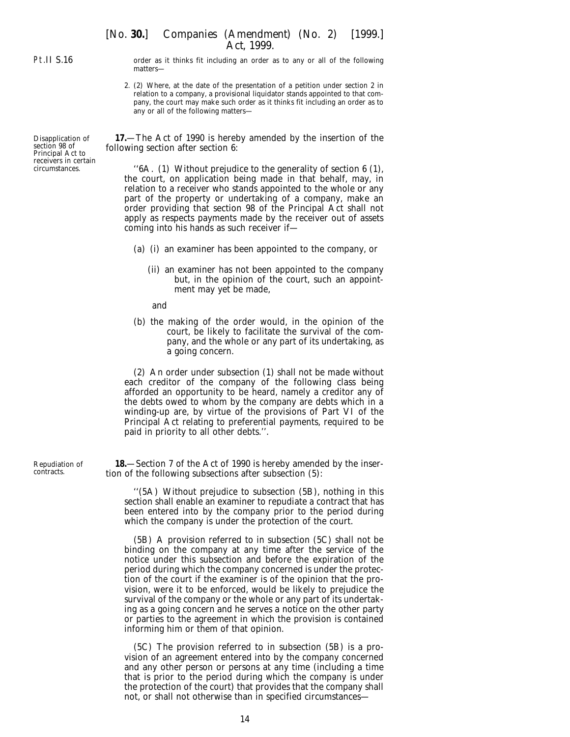<span id="page-13-0"></span>Disapplication of section 98 of Principal Act to receivers in certain circumstances.

order as it thinks fit including an order as to any or all of the following matters—

2. (2) Where, at the date of the presentation of a petition under section 2 in relation to a company, a provisional liquidator stands appointed to that company, the court may make such order as it thinks fit including an order as to any or all of the following matters—

**17.**—The Act of 1990 is hereby amended by the insertion of the following section after section 6:

''6A. (1) Without prejudice to the generality of section 6 (1), the court, on application being made in that behalf, may, in relation to a receiver who stands appointed to the whole or any part of the property or undertaking of a company, make an order providing that section 98 of the Principal Act shall not apply as respects payments made by the receiver out of assets coming into his hands as such receiver if—

- (*a*) (i) an examiner has been appointed to the company, or
	- (ii) an examiner has not been appointed to the company but, in the opinion of the court, such an appointment may yet be made,

and

(*b*) the making of the order would, in the opinion of the court, be likely to facilitate the survival of the company, and the whole or any part of its undertaking, as a going concern.

(2) An order under subsection (1) shall not be made without each creditor of the company of the following class being afforded an opportunity to be heard, namely a creditor any of the debts owed to whom by the company are debts which in a winding-up are, by virtue of the provisions of Part VI of the Principal Act relating to preferential payments, required to be paid in priority to all other debts.''.

**18.**—Section 7 of the Act of 1990 is hereby amended by the insertion of the following subsections after subsection (5):

''(5A) Without prejudice to subsection (5B), nothing in this section shall enable an examiner to repudiate a contract that has been entered into by the company prior to the period during which the company is under the protection of the court.

(5B) A provision referred to in subsection (5C) shall not be binding on the company at any time after the service of the notice under this subsection and before the expiration of the period during which the company concerned is under the protection of the court if the examiner is of the opinion that the provision, were it to be enforced, would be likely to prejudice the survival of the company or the whole or any part of its undertaking as a going concern and he serves a notice on the other party or parties to the agreement in which the provision is contained informing him or them of that opinion.

(5C) The provision referred to in subsection (5B) is a provision of an agreement entered into by the company concerned and any other person or persons at any time (including a time that is prior to the period during which the company is under the protection of the court) that provides that the company shall not, or shall not otherwise than in specified circumstances—

Repudiation of contracts.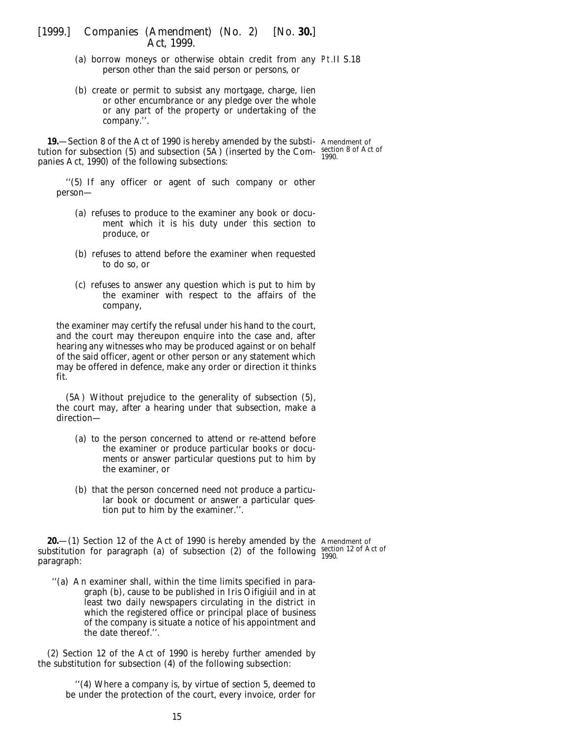- <span id="page-14-0"></span>(*a*) borrow moneys or otherwise obtain credit from any Pt.II S.18 person other than the said person or persons, or
- (*b*) create or permit to subsist any mortgage, charge, lien or other encumbrance or any pledge over the whole or any part of the property or undertaking of the company.''.

**19.**—Section 8 of the Act of 1990 is hereby amended by the substi-Amendment of tution for subsection (5) and subsection (5Å) (inserted by the Com-section 8 of Act of non-section 8. The following subsections: panies Act, 1990) of the following subsections:

''(5) If any officer or agent of such company or other person—

- (*a*) refuses to produce to the examiner any book or document which it is his duty under this section to produce, or
- (*b*) refuses to attend before the examiner when requested to do so, or
- (*c*) refuses to answer any question which is put to him by the examiner with respect to the affairs of the company,

the examiner may certify the refusal under his hand to the court, and the court may thereupon enquire into the case and, after hearing any witnesses who may be produced against or on behalf of the said officer, agent or other person or any statement which may be offered in defence, make any order or direction it thinks fit.

(5A) Without prejudice to the generality of subsection (5), the court may, after a hearing under that subsection, make a direction—

- (*a*) to the person concerned to attend or re-attend before the examiner or produce particular books or documents or answer particular questions put to him by the examiner, or
- (*b*) that the person concerned need not produce a particular book or document or answer a particular question put to him by the examiner.''.

**20.**—(1) Section 12 of the Act of 1990 is hereby amended by the Amendment of substitution for paragraph (*a*) of subsection  $(2)$  of the following  $\frac{\text{section 12 of Act of}}{1990}$ paragraph:

''(*a*) An examiner shall, within the time limits specified in paragraph (*b*), cause to be published in *Iris Oifigiu´il* and in at least two daily newspapers circulating in the district in which the registered office or principal place of business of the company is situate a notice of his appointment and the date thereof.''.

(2) Section 12 of the Act of 1990 is hereby further amended by the substitution for subsection (4) of the following subsection:

''(4) Where a company is, by virtue of section 5, deemed to be under the protection of the court, every invoice, order for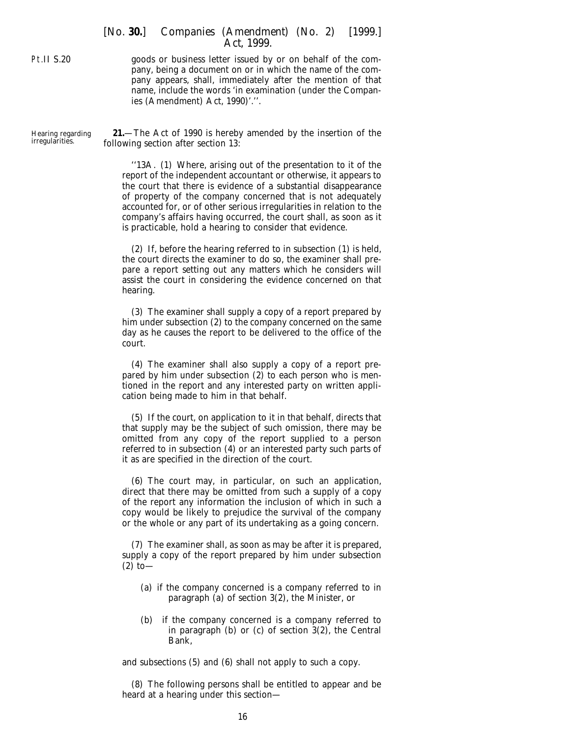goods or business letter issued by or on behalf of the company, being a document on or in which the name of the company appears, shall, immediately after the mention of that name, include the words 'in examination (under the Companies (Amendment) Act, 1990)'.''.

<span id="page-15-0"></span>Hearing regarding irregularities.

**21.**—The Act of 1990 is hereby amended by the insertion of the following section after section 13:

''13A. (1) Where, arising out of the presentation to it of the report of the independent accountant or otherwise, it appears to the court that there is evidence of a substantial disappearance of property of the company concerned that is not adequately accounted for, or of other serious irregularities in relation to the company's affairs having occurred, the court shall, as soon as it is practicable, hold a hearing to consider that evidence.

(2) If, before the hearing referred to in subsection (1) is held, the court directs the examiner to do so, the examiner shall prepare a report setting out any matters which he considers will assist the court in considering the evidence concerned on that hearing.

(3) The examiner shall supply a copy of a report prepared by him under subsection (2) to the company concerned on the same day as he causes the report to be delivered to the office of the court.

(4) The examiner shall also supply a copy of a report prepared by him under subsection (2) to each person who is mentioned in the report and any interested party on written application being made to him in that behalf.

(5) If the court, on application to it in that behalf, directs that that supply may be the subject of such omission, there may be omitted from any copy of the report supplied to a person referred to in subsection (4) or an interested party such parts of it as are specified in the direction of the court.

(6) The court may, in particular, on such an application, direct that there may be omitted from such a supply of a copy of the report any information the inclusion of which in such a copy would be likely to prejudice the survival of the company or the whole or any part of its undertaking as a going concern.

(7) The examiner shall, as soon as may be after it is prepared, supply a copy of the report prepared by him under subsection  $(2)$  to —

- (*a*) if the company concerned is a company referred to in paragraph (*a*) of section 3(2), the Minister, or
- (*b*) if the company concerned is a company referred to in paragraph (*b*) or (*c*) of section 3(2), the Central Bank,

and subsections (5) and (6) shall not apply to such a copy.

(8) The following persons shall be entitled to appear and be heard at a hearing under this section—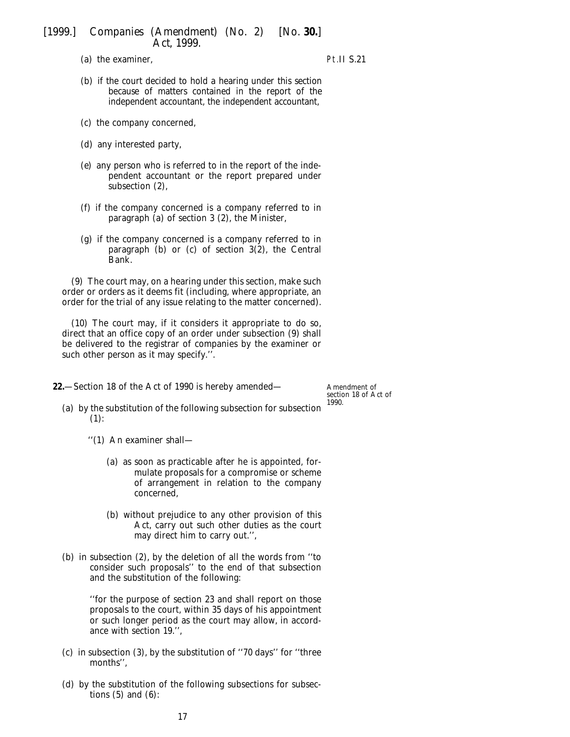- (*b*) if the court decided to hold a hearing under this section because of matters contained in the report of the independent accountant, the independent accountant,
- (*c*) the company concerned,
- (*d*) any interested party,
- (*e*) any person who is referred to in the report of the independent accountant or the report prepared under subsection (2),
- (*f*) if the company concerned is a company referred to in paragraph (*a*) of section 3 (2), the Minister,
- (*g*) if the company concerned is a company referred to in paragraph (*b*) or (*c*) of section 3(2), the Central Bank.

(9) The court may, on a hearing under this section, make such order or orders as it deems fit (including, where appropriate, an order for the trial of any issue relating to the matter concerned).

(10) The court may, if it considers it appropriate to do so, direct that an office copy of an order under subsection (9) shall be delivered to the registrar of companies by the examiner or such other person as it may specify.''.

**22.**—Section 18 of the Act of 1990 is hereby amended—

Amendment of section 18 of Act of 1990.

- (*a*) by the substitution of the following subsection for subsection (1):
	- ''(1) An examiner shall—
		- (*a*) as soon as practicable after he is appointed, formulate proposals for a compromise or scheme of arrangement in relation to the company concerned,
		- (*b*) without prejudice to any other provision of this Act, carry out such other duties as the court may direct him to carry out.'',
- (*b*) in subsection (2), by the deletion of all the words from ''to consider such proposals'' to the end of that subsection and the substitution of the following:

''for the purpose of section 23 and shall report on those proposals to the court, within 35 days of his appointment or such longer period as the court may allow, in accordance with section 19.'',

- (*c*) in subsection (3), by the substitution of ''70 days'' for ''three months'',
- (*d*) by the substitution of the following subsections for subsections  $(5)$  and  $(6)$ :

<span id="page-16-0"></span><sup>(</sup>*a*) the examiner,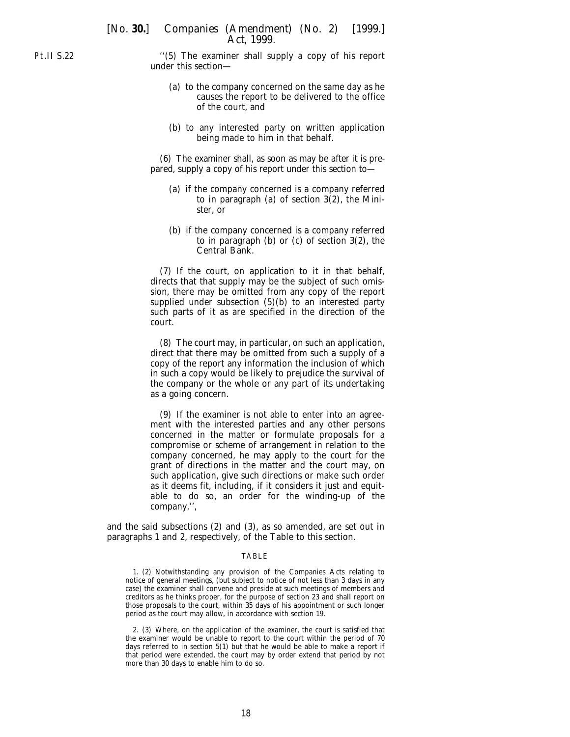''(5) The examiner shall supply a copy of his report under this section—

- (*a*) to the company concerned on the same day as he causes the report to be delivered to the office of the court, and
- (*b*) to any interested party on written application being made to him in that behalf.

(6) The examiner shall, as soon as may be after it is prepared, supply a copy of his report under this section to—

- (*a*) if the company concerned is a company referred to in paragraph (*a*) of section 3(2), the Minister, or
- (*b*) if the company concerned is a company referred to in paragraph (*b*) or (*c*) of section 3(2), the Central Bank.

(7) If the court, on application to it in that behalf, directs that that supply may be the subject of such omission, there may be omitted from any copy of the report supplied under subsection  $(5)(b)$  to an interested party such parts of it as are specified in the direction of the court.

(8) The court may, in particular, on such an application, direct that there may be omitted from such a supply of a copy of the report any information the inclusion of which in such a copy would be likely to prejudice the survival of the company or the whole or any part of its undertaking as a going concern.

(9) If the examiner is not able to enter into an agreement with the interested parties and any other persons concerned in the matter or formulate proposals for a compromise or scheme of arrangement in relation to the company concerned, he may apply to the court for the grant of directions in the matter and the court may, on such application, give such directions or make such order as it deems fit, including, if it considers it just and equitable to do so, an order for the winding-up of the company.'',

and the said subsections (2) and (3), as so amended, are set out in paragraphs 1 and 2, respectively, of the Table to this section.

#### TABLE

1. (2) Notwithstanding any provision of the Companies Acts relating to notice of general meetings, (but subject to notice of not less than 3 days in any case) the examiner shall convene and preside at such meetings of members and creditors as he thinks proper, for the purpose of section 23 and shall report on those proposals to the court, within 35 days of his appointment or such longer period as the court may allow, in accordance with section 19.

2. (3) Where, on the application of the examiner, the court is satisfied that the examiner would be unable to report to the court within the period of 70 days referred to in section 5(1) but that he would be able to make a report if that period were extended, the court may by order extend that period by not more than 30 days to enable him to do so.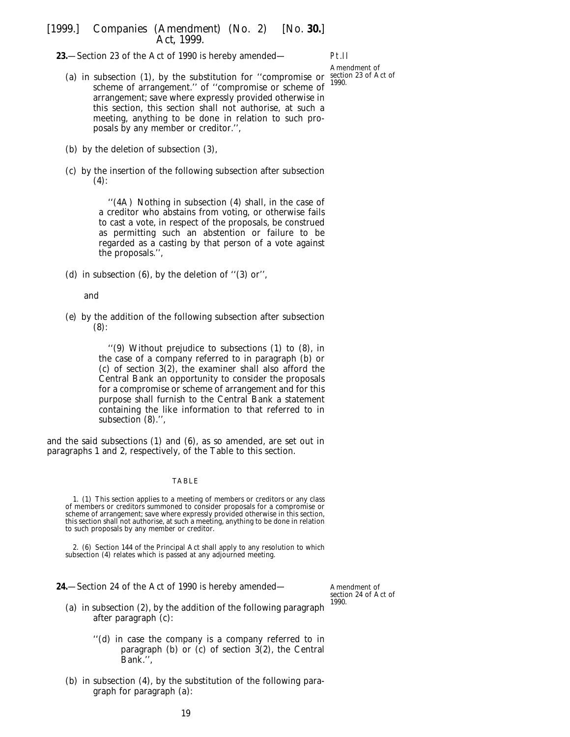<span id="page-18-0"></span>**23.**—Section 23 of the Act of 1990 is hereby amended—

## (*a*) in subsection (1), by the substitution for ''compromise or scheme of arrangement.'' of ''compromise or scheme of arrangement; save where expressly provided otherwise in this section, this section shall not authorise, at such a meeting, anything to be done in relation to such proposals by any member or creditor.'',

- (*b*) by the deletion of subsection (3),
- (*c*) by the insertion of the following subsection after subsection  $(4)$ :

''(4A) Nothing in subsection (4) shall, in the case of a creditor who abstains from voting, or otherwise fails to cast a vote, in respect of the proposals, be construed as permitting such an abstention or failure to be regarded as a casting by that person of a vote against the proposals.'',

(*d*) in subsection (6), by the deletion of ''(3) or'',

and

(*e*) by the addition of the following subsection after subsection (8):

> ''(9) Without prejudice to subsections (1) to (8), in the case of a company referred to in paragraph (*b*) or (*c*) of section 3(2), the examiner shall also afford the Central Bank an opportunity to consider the proposals for a compromise or scheme of arrangement and for this purpose shall furnish to the Central Bank a statement containing the like information to that referred to in subsection (8).'',

and the said subsections (1) and (6), as so amended, are set out in paragraphs 1 and 2, respectively, of the Table to this section.

#### TABLE

1. (1) This section applies to a meeting of members or creditors or any class of members or creditors summoned to consider proposals for a compromise or scheme of arrangement; save where expressly provided otherwise in this section, this section shall not authorise, at such a meeting, anything to be done in relation to such proposals by any member or creditor.

2. (6) Section 144 of the Principal Act shall apply to any resolution to which subsection (4) relates which is passed at any adjourned meeting.

**24.**—Section 24 of the Act of 1990 is hereby amended—

Amendment of section 24 of Act of 1990.

- (*a*) in subsection (2), by the addition of the following paragraph after paragraph (*c*):
	- ''(*d*) in case the company is a company referred to in paragraph (*b*) or (*c*) of section 3(2), the Central Bank.'',
- (*b*) in subsection (4), by the substitution of the following paragraph for paragraph (*a*):

Pt.II

Amendment of section 23 of Act of 1990.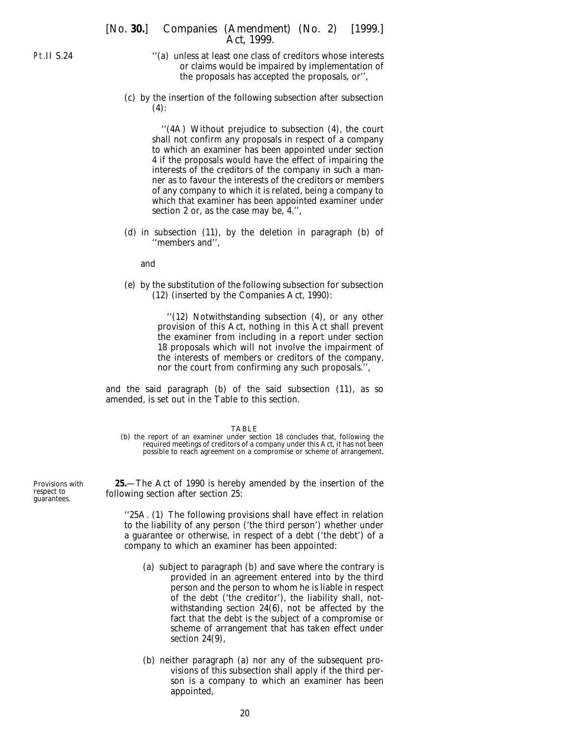- ''(*a*) unless at least one class of creditors whose interests or claims would be impaired by implementation of the proposals has accepted the proposals, or'',
- <span id="page-19-0"></span>(*c*) by the insertion of the following subsection after subsection  $(4):$

''(4A) Without prejudice to subsection (4), the court shall not confirm any proposals in respect of a company to which an examiner has been appointed under section 4 if the proposals would have the effect of impairing the interests of the creditors of the company in such a manner as to favour the interests of the creditors or members of any company to which it is related, being a company to which that examiner has been appointed examiner under section 2 or, as the case may be, 4.'',

(*d*) in subsection (11), by the deletion in paragraph (*b*) of ''members and'',

and

(*e*) by the substitution of the following subsection for subsection (12) (inserted by the Companies Act, 1990):

> ''(12) Notwithstanding subsection (4), or any other provision of this Act, nothing in this Act shall prevent the examiner from including in a report under section 18 proposals which will not involve the impairment of the interests of members or creditors of the company, nor the court from confirming any such proposals.'',

and the said paragraph (*b*) of the said subsection (11), as so amended, is set out in the Table to this section.

TABLE

(*b*) the report of an examiner under section 18 concludes that, following the required meetings of creditors of a company under this Act, it has not been possible to reach agreement on a compromise or scheme of arrangement.

**25.**—The Act of 1990 is hereby amended by the insertion of the following section after section 25:

''25A. (1) The following provisions shall have effect in relation to the liability of any person ('the third person') whether under a guarantee or otherwise, in respect of a debt ('the debt') of a company to which an examiner has been appointed:

- (*a*) subject to paragraph (*b*) and save where the contrary is provided in an agreement entered into by the third person and the person to whom he is liable in respect of the debt ('the creditor'), the liability shall, notwithstanding section 24(6), not be affected by the fact that the debt is the subject of a compromise or scheme of arrangement that has taken effect under section 24(9),
- (*b*) neither paragraph (*a*) nor any of the subsequent provisions of this subsection shall apply if the third person is a company to which an examiner has been appointed,

Provisions with respect to guarantees.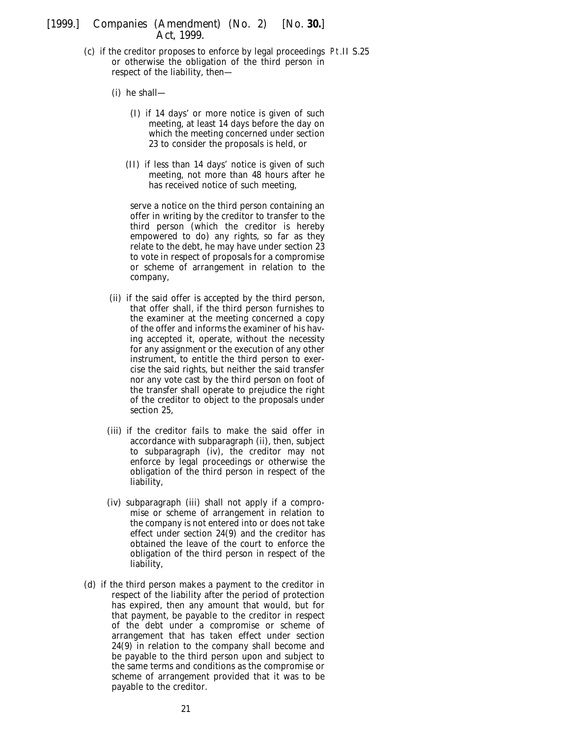- (*c*) if the creditor proposes to enforce by legal proceedings Pt.II S.25or otherwise the obligation of the third person in respect of the liability, then—
	- (i) he shall—
		- (I) if 14 days' or more notice is given of such meeting, at least 14 days before the day on which the meeting concerned under section 23 to consider the proposals is held, or
		- (II) if less than 14 days' notice is given of such meeting, not more than 48 hours after he has received notice of such meeting,

serve a notice on the third person containing an offer in writing by the creditor to transfer to the third person (which the creditor is hereby empowered to do) any rights, so far as they relate to the debt, he may have under section 23 to vote in respect of proposals for a compromise or scheme of arrangement in relation to the company,

- (ii) if the said offer is accepted by the third person, that offer shall, if the third person furnishes to the examiner at the meeting concerned a copy of the offer and informs the examiner of his having accepted it, operate, without the necessity for any assignment or the execution of any other instrument, to entitle the third person to exercise the said rights, but neither the said transfer nor any vote cast by the third person on foot of the transfer shall operate to prejudice the right of the creditor to object to the proposals under section 25,
- (iii) if the creditor fails to make the said offer in accordance with subparagraph (ii), then, subject to subparagraph (iv), the creditor may not enforce by legal proceedings or otherwise the obligation of the third person in respect of the liability,
- (iv) subparagraph (iii) shall not apply if a compromise or scheme of arrangement in relation to the company is not entered into or does not take effect under section 24(9) and the creditor has obtained the leave of the court to enforce the obligation of the third person in respect of the liability,
- (*d*) if the third person makes a payment to the creditor in respect of the liability after the period of protection has expired, then any amount that would, but for that payment, be payable to the creditor in respect of the debt under a compromise or scheme of arrangement that has taken effect under section 24(9) in relation to the company shall become and be payable to the third person upon and subject to the same terms and conditions as the compromise or scheme of arrangement provided that it was to be payable to the creditor.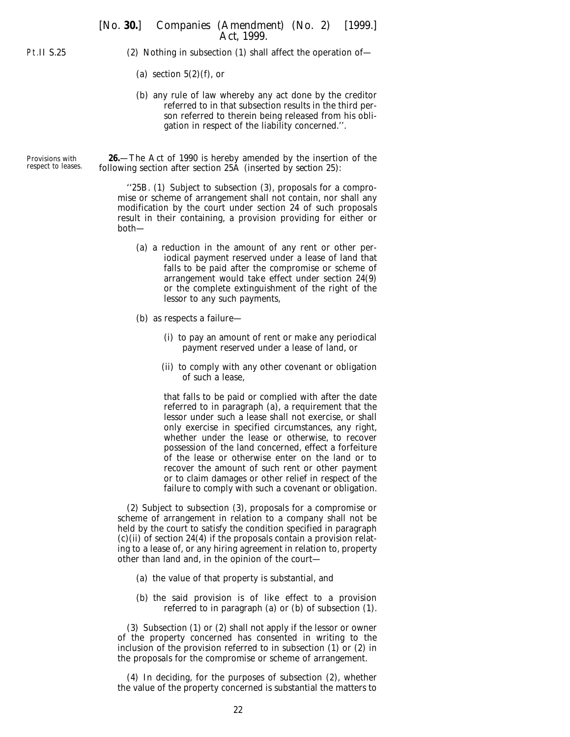- <span id="page-21-0"></span>(2) Nothing in subsection (1) shall affect the operation of—
	- (*a*) section 5(2)(*f*), or
	- (*b*) any rule of law whereby any act done by the creditor referred to in that subsection results in the third person referred to therein being released from his obligation in respect of the liability concerned.''.

Provisions with respect to leases.

**26.**—The Act of 1990 is hereby amended by the insertion of the following section after section 25A (inserted by *section 25*):

''25B. (1) Subject to subsection (3), proposals for a compromise or scheme of arrangement shall not contain, nor shall any modification by the court under section 24 of such proposals result in their containing, a provision providing for either or both—

- (*a*) a reduction in the amount of any rent or other periodical payment reserved under a lease of land that falls to be paid after the compromise or scheme of arrangement would take effect under section 24(9) or the complete extinguishment of the right of the lessor to any such payments,
- (*b*) as respects a failure—
	- (i) to pay an amount of rent or make any periodical payment reserved under a lease of land, or
	- (ii) to comply with any other covenant or obligation of such a lease,

that falls to be paid or complied with after the date referred to in paragraph (*a*), a requirement that the lessor under such a lease shall not exercise, or shall only exercise in specified circumstances, any right, whether under the lease or otherwise, to recover possession of the land concerned, effect a forfeiture of the lease or otherwise enter on the land or to recover the amount of such rent or other payment or to claim damages or other relief in respect of the failure to comply with such a covenant or obligation.

(2) Subject to subsection (3), proposals for a compromise or scheme of arrangement in relation to a company shall not be held by the court to satisfy the condition specified in paragraph (*c*)(ii) of section 24(4) if the proposals contain a provision relating to a lease of, or any hiring agreement in relation to, property other than land and, in the opinion of the court—

- (*a*) the value of that property is substantial, and
- (*b*) the said provision is of like effect to a provision referred to in paragraph (*a*) or (*b*) of subsection (1).

(3) Subsection (1) or (2) shall not apply if the lessor or owner of the property concerned has consented in writing to the inclusion of the provision referred to in subsection (1) or (2) in the proposals for the compromise or scheme of arrangement.

(4) In deciding, for the purposes of subsection (2), whether the value of the property concerned is substantial the matters to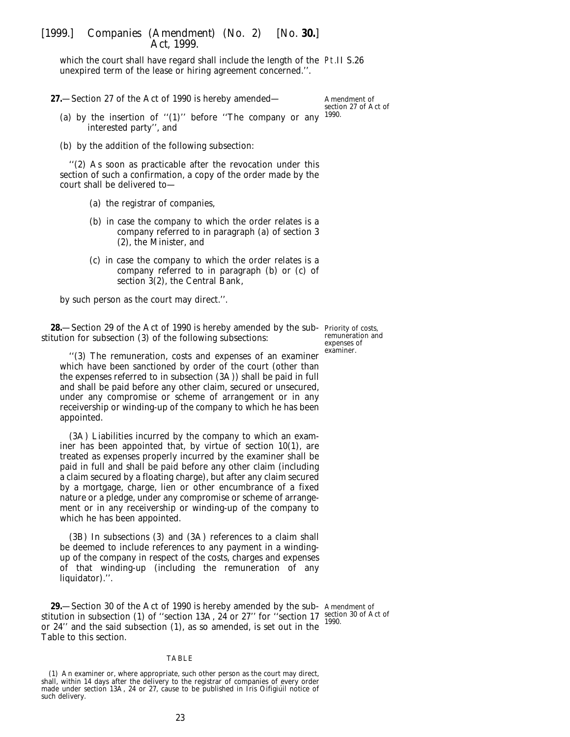<span id="page-22-0"></span>which the court shall have regard shall include the length of the Pt.II S.26 unexpired term of the lease or hiring agreement concerned.''.

**27.**—Section 27 of the Act of 1990 is hereby amended—

Amendment of section 27 of Act of 1990.

- (*a*) by the insertion of ''(1)'' before ''The company or any interested party'', and
- (*b*) by the addition of the following subsection:

''(2) As soon as practicable after the revocation under this section of such a confirmation, a copy of the order made by the court shall be delivered to—

- (*a*) the registrar of companies,
- (*b*) in case the company to which the order relates is a company referred to in paragraph (*a*) of section 3 (2), the Minister, and
- (*c*) in case the company to which the order relates is a company referred to in paragraph (*b*) or (*c*) of section 3(2), the Central Bank,

by such person as the court may direct.''.

**28.**—Section 29 of the Act of 1990 is hereby amended by the sub- Priority of costs, stitution for subsection (3) of the following subsections:

''(3) The remuneration, costs and expenses of an examiner which have been sanctioned by order of the court (other than the expenses referred to in subsection (3A)) shall be paid in full and shall be paid before any other claim, secured or unsecured, under any compromise or scheme of arrangement or in any receivership or winding-up of the company to which he has been appointed.

(3A) Liabilities incurred by the company to which an examiner has been appointed that, by virtue of section 10(1), are treated as expenses properly incurred by the examiner shall be paid in full and shall be paid before any other claim (including a claim secured by a floating charge), but after any claim secured by a mortgage, charge, lien or other encumbrance of a fixed nature or a pledge, under any compromise or scheme of arrangement or in any receivership or winding-up of the company to which he has been appointed.

(3B) In subsections (3) and (3A) references to a claim shall be deemed to include references to any payment in a windingup of the company in respect of the costs, charges and expenses of that winding-up (including the remuneration of any liquidator).''.

**29.**—Section 30 of the Act of 1990 is hereby amended by the sub-Amendment of stitution in subsection (1) of "section 13A, 24 or 27" for "section 17 section 30 of Act of or 24'' and the said subsection (1), as so amended, is set out in the Table to this section.

#### TABLE

remuneration and expenses of examiner.

1990.

<sup>(1)</sup> An examiner or, where appropriate, such other person as the court may direct, shall, within 14 days after the delivery to the registrar of companies of every order made under section 13A, 24 or 27, cause to be published in *Iris Oifigiúil* notice of such delivery.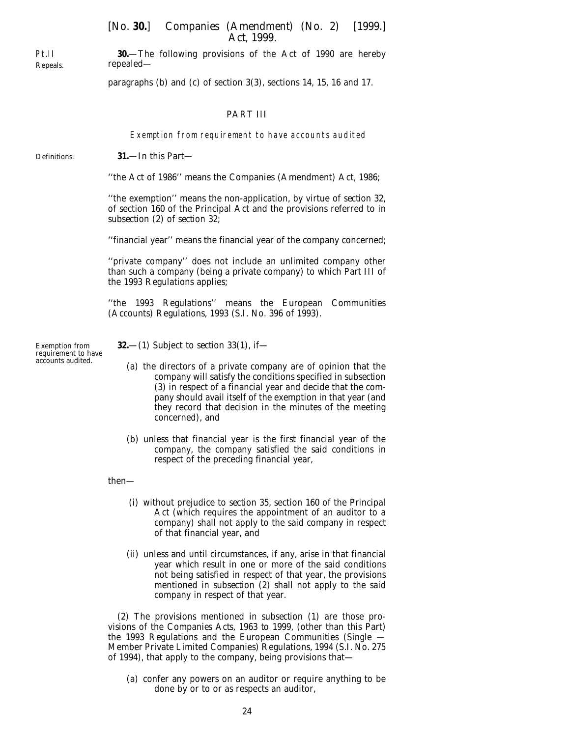[*No.* **30.**] *Companies (Amendment) (No. 2)* [1999.] *Act,* 1999.

<span id="page-23-0"></span>Pt.II Repeals.

**30.**—The following provisions of the Act of 1990 are hereby repealed—

paragraphs (*b*) and (*c*) of section 3(3), sections 14, 15, 16 and 17.

# PART III

Exemption from requirement to have accounts audited

**Definitions** 

**31.**—In this Part—

''the Act of 1986'' means the Companies (Amendment) Act, 1986;

''the exemption'' means the non-application, by virtue of *section 32*, of section 160 of the Principal Act and the provisions referred to in *subsection (2)* of *section 32*;

''financial year'' means the financial year of the company concerned;

''private company'' does not include an unlimited company other than such a company (being a private company) to which Part III of the 1993 Regulations applies;

''the 1993 Regulations'' means the European Communities (Accounts) Regulations, 1993 (S.I. No. 396 of 1993).

Exemption from requirement to have accounts audited.

- **32.**—(1) Subject to *section 33(1)*, if—
	- (*a*) the directors of a private company are of opinion that the company will satisfy the conditions specified in *subsection (3)* in respect of a financial year and decide that the company should avail itself of the exemption in that year (and they record that decision in the minutes of the meeting concerned), and
	- (*b*) unless that financial year is the first financial year of the company, the company satisfied the said conditions in respect of the preceding financial year,

then—

- (i) without prejudice to *section 35*, section 160 of the Principal Act (which requires the appointment of an auditor to a company) shall not apply to the said company in respect of that financial year, and
- (ii) unless and until circumstances, if any, arise in that financial year which result in one or more of the said conditions not being satisfied in respect of that year, the provisions mentioned in *subsection (2)* shall not apply to the said company in respect of that year.

(2) The provisions mentioned in *subsection (1)* are those provisions of the *Companies Acts, 1963 to 1999*, (other than this Part) the 1993 Regulations and the European Communities (Single — Member Private Limited Companies) Regulations, 1994 (S.I. No. 275 of 1994), that apply to the company, being provisions that—

(*a*) confer any powers on an auditor or require anything to be done by or to or as respects an auditor,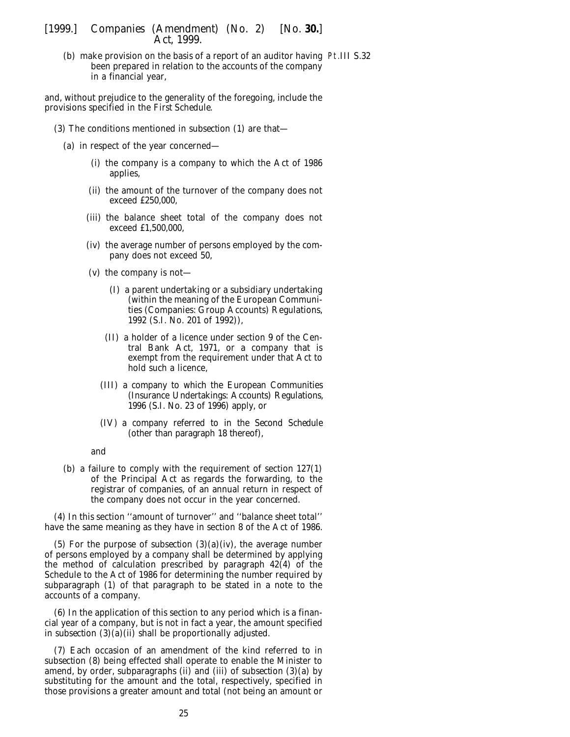(*b*) make provision on the basis of a report of an auditor having Pt.III S.32been prepared in relation to the accounts of the company in a financial year,

and, without prejudice to the generality of the foregoing, include the provisions specified in the *First Schedule*.

- (3) The conditions mentioned in *subsection (1)* are that—
	- (*a*) in respect of the year concerned—
		- (i) the company is a company to which the Act of 1986 applies,
		- (ii) the amount of the turnover of the company does not exceed £250,000,
		- (iii) the balance sheet total of the company does not exceed £1,500,000,
		- (iv) the average number of persons employed by the company does not exceed 50,
		- (v) the company is not—
			- (I) a parent undertaking or a subsidiary undertaking (within the meaning of the European Communities (Companies: Group Accounts) Regulations, 1992 (S.I. No. 201 of 1992)),
			- (II) a holder of a licence under section 9 of the Central Bank Act, 1971, or a company that is exempt from the requirement under that Act to hold such a licence,
			- (III) a company to which the European Communities (Insurance Undertakings: Accounts) Regulations, 1996 (S.I. No. 23 of 1996) apply, or
			- (IV) a company referred to in the *Second Schedule* (other than *paragraph 18* thereof),

and

(*b*) a failure to comply with the requirement of section 127(1) of the Principal Act as regards the forwarding, to the registrar of companies, of an annual return in respect of the company does not occur in the year concerned.

(4) In this section ''amount of turnover'' and ''balance sheet total'' have the same meaning as they have in section 8 of the Act of 1986.

(5) For the purpose of *subsection (3)(a)(iv)*, the average number of persons employed by a company shall be determined by applying the method of calculation prescribed by paragraph 42(4) of the Schedule to the Act of 1986 for determining the number required by subparagraph (1) of that paragraph to be stated in a note to the accounts of a company.

(6) In the application of this section to any period which is a financial year of a company, but is not in fact a year, the amount specified in *subsection (3)(a)(ii)* shall be proportionally adjusted.

(7) Each occasion of an amendment of the kind referred to in *subsection (8)* being effected shall operate to enable the Minister to amend, by order, *subparagraphs (ii)* and *(iii)* of *subsection (3)(a)* by substituting for the amount and the total, respectively, specified in those provisions a greater amount and total (not being an amount or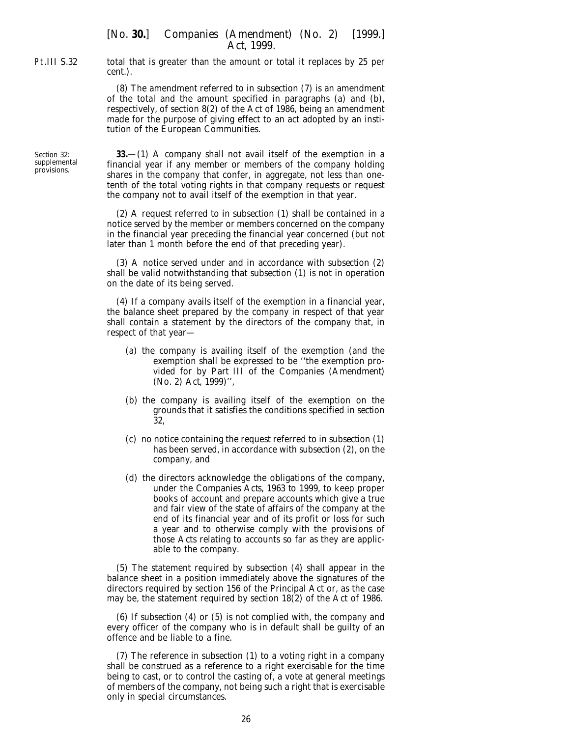<span id="page-25-0"></span>total that is greater than the amount or total it replaces by 25 per cent.).

(8) The amendment referred to in *subsection (7)* is an amendment of the total and the amount specified in paragraphs (*a*) and (*b*), respectively, of section 8(2) of the Act of 1986, being an amendment made for the purpose of giving effect to an act adopted by an institution of the European Communities.

**33.**—(1) A company shall not avail itself of the exemption in a financial year if any member or members of the company holding shares in the company that confer, in aggregate, not less than onetenth of the total voting rights in that company requests or request the company not to avail itself of the exemption in that year.

(2) A request referred to in *subsection (1)* shall be contained in a notice served by the member or members concerned on the company in the financial year preceding the financial year concerned (but not later than 1 month before the end of that preceding year).

(3) A notice served under and in accordance with *subsection (2)* shall be valid notwithstanding that *subsection (1)* is not in operation on the date of its being served.

(4) If a company avails itself of the exemption in a financial year, the balance sheet prepared by the company in respect of that year shall contain a statement by the directors of the company that, in respect of that year—

- (*a*) the company is availing itself of the exemption (and the exemption shall be expressed to be ''the exemption provided for by *Part III* of the *Companies (Amendment) (No. 2) Act, 1999*)'',
- (*b*) the company is availing itself of the exemption on the grounds that it satisfies the conditions specified in *section 32*,
- (*c*) no notice containing the request referred to in *subsection (1)* has been served, in accordance with *subsection (2)*, on the company, and
- (*d*) the directors acknowledge the obligations of the company, under the *Companies Acts, 1963 to 1999*, to keep proper books of account and prepare accounts which give a true and fair view of the state of affairs of the company at the end of its financial year and of its profit or loss for such a year and to otherwise comply with the provisions of those Acts relating to accounts so far as they are applicable to the company.

(5) The statement required by *subsection (4)* shall appear in the balance sheet in a position immediately above the signatures of the directors required by section 156 of the Principal Act or, as the case may be, the statement required by section 18(2) of the Act of 1986.

(6) If *subsection (4)* or *(5)* is not complied with, the company and every officer of the company who is in default shall be guilty of an offence and be liable to a fine.

(7) The reference in *subsection (1)* to a voting right in a company shall be construed as a reference to a right exercisable for the time being to cast, or to control the casting of, a vote at general meetings of members of the company, not being such a right that is exercisable only in special circumstances.

*Section 32*: supplemental provisions.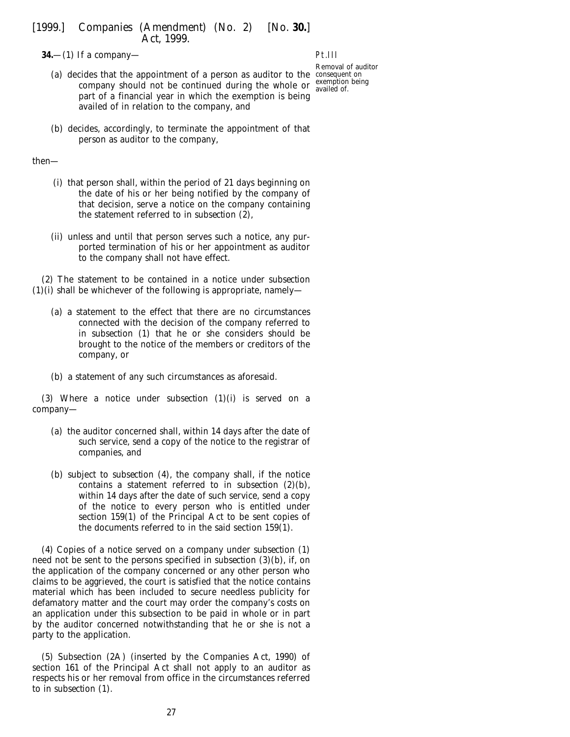<span id="page-26-0"></span>**34.**—(1) If a company—

- (a) decides that the appointment of a person as auditor to the consequent on company should not be continued during the whole or part of a financial year in which the exemption is being availed of in relation to the company, and
- (*b*) decides, accordingly, to terminate the appointment of that person as auditor to the company,

#### then—

- (i) that person shall, within the period of 21 days beginning on the date of his or her being notified by the company of that decision, serve a notice on the company containing the statement referred to in *subsection (2)*,
- (ii) unless and until that person serves such a notice, any purported termination of his or her appointment as auditor to the company shall not have effect.

(2) The statement to be contained in a notice under *subsection (1)(i)* shall be whichever of the following is appropriate, namely—

- (*a*) a statement to the effect that there are no circumstances connected with the decision of the company referred to in *subsection (1)* that he or she considers should be brought to the notice of the members or creditors of the company, or
- (*b*) a statement of any such circumstances as aforesaid.

(3) Where a notice under *subsection (1)(i)* is served on a company—

- (*a*) the auditor concerned shall, within 14 days after the date of such service, send a copy of the notice to the registrar of companies, and
- (*b*) subject to *subsection (4)*, the company shall, if the notice contains a statement referred to in *subsection (2)(b)*, within 14 days after the date of such service, send a copy of the notice to every person who is entitled under section 159(1) of the Principal Act to be sent copies of the documents referred to in the said section 159(1).

(4) Copies of a notice served on a company under *subsection (1)* need not be sent to the persons specified in *subsection (3)(b)*, if, on the application of the company concerned or any other person who claims to be aggrieved, the court is satisfied that the notice contains material which has been included to secure needless publicity for defamatory matter and the court may order the company's costs on an application under this subsection to be paid in whole or in part by the auditor concerned notwithstanding that he or she is not a party to the application.

(5) Subsection (2A) (inserted by the Companies Act, 1990) of section 161 of the Principal Act shall not apply to an auditor as respects his or her removal from office in the circumstances referred to in *subsection (1)*.

## Pt.III

Removal of auditor exemption being availed of.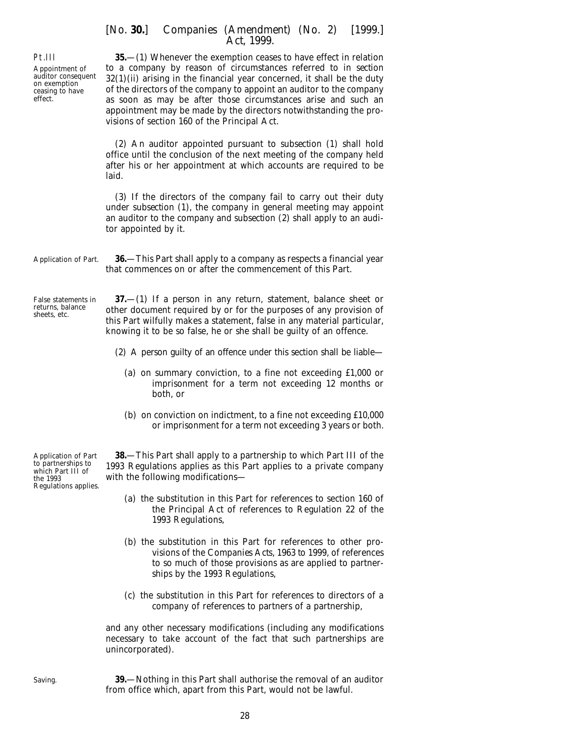<span id="page-27-0"></span>Pt.III

Appointment of auditor consequent on exemption ceasing to have effect.

Application of Part to partnerships to which Part III of the 1993 Regulations applies.

False statements in returns, balance sheets, etc.

# [*No.* **30.**] *Companies (Amendment) (No. 2)* [1999.] *Act,* 1999.

**35.**—(1) Whenever the exemption ceases to have effect in relation to a company by reason of circumstances referred to in *section 32(1)(ii)* arising in the financial year concerned, it shall be the duty of the directors of the company to appoint an auditor to the company as soon as may be after those circumstances arise and such an appointment may be made by the directors notwithstanding the provisions of section 160 of the Principal Act.

(2) An auditor appointed pursuant to *subsection (1)* shall hold office until the conclusion of the next meeting of the company held after his or her appointment at which accounts are required to be laid.

(3) If the directors of the company fail to carry out their duty under *subsection (1*), the company in general meeting may appoint an auditor to the company and *subsection (2)* shall apply to an auditor appointed by it.

Application of Part. **36.**—This Part shall apply to a company as respects a financial year that commences on or after the commencement of this Part.

> **37.**—(1) If a person in any return, statement, balance sheet or other document required by or for the purposes of any provision of this Part wilfully makes a statement, false in any material particular, knowing it to be so false, he or she shall be guilty of an offence.

- (2) A person guilty of an offence under this section shall be liable—
	- (*a*) on summary conviction, to a fine not exceeding £1,000 or imprisonment for a term not exceeding 12 months or both, or
	- (*b*) on conviction on indictment, to a fine not exceeding £10,000 or imprisonment for a term not exceeding 3 years or both.

**38.**—This Part shall apply to a partnership to which Part III of the 1993 Regulations applies as this Part applies to a private company with the following modifications—

- (*a*) the substitution in this Part for references to section 160 of the Principal Act of references to Regulation 22 of the 1993 Regulations,
- (*b*) the substitution in this Part for references to other provisions of the *Companies Acts, 1963 to 1999*, of references to so much of those provisions as are applied to partnerships by the 1993 Regulations,
- (*c*) the substitution in this Part for references to directors of a company of references to partners of a partnership,

and any other necessary modifications (including any modifications necessary to take account of the fact that such partnerships are unincorporated).

Saving.

**39.**—Nothing in this Part shall authorise the removal of an auditor from office which, apart from this Part, would not be lawful.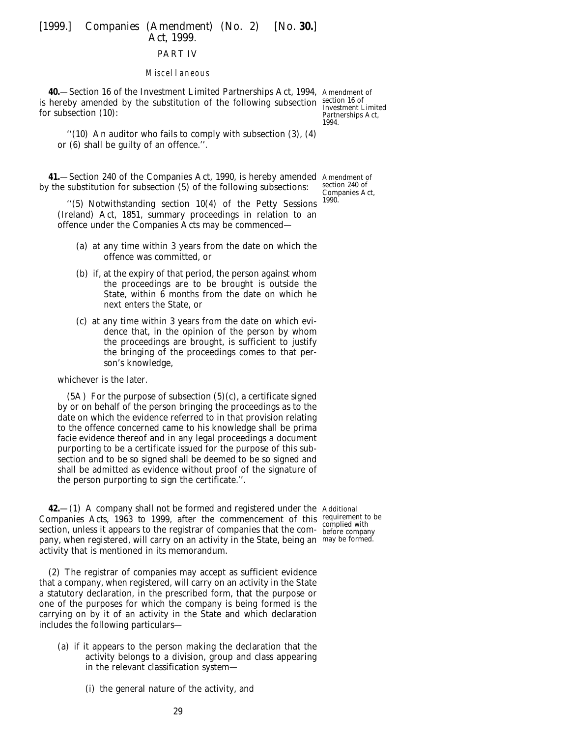# PART IV

#### Miscellaneous

<span id="page-28-0"></span>**40.**—Section 16 of the Investment Limited Partnerships Act, 1994, Amendment of is hereby amended by the substitution of the following subsection  $\frac{\text{section 16 of}}{\text{Invert}}$ for subsection (10):

''(10) An auditor who fails to comply with subsection (3), (4) or (6) shall be guilty of an offence.''.

**41.**—Section 240 of the Companies Act, 1990, is hereby amended Amendment of by the substitution for subsection (5) of the following subsections:

''(5) Notwithstanding section 10(4) of the Petty Sessions (Ireland) Act, 1851, summary proceedings in relation to an offence under the Companies Acts may be commenced—

- (*a*) at any time within 3 years from the date on which the offence was committed, or
- (*b*) if, at the expiry of that period, the person against whom the proceedings are to be brought is outside the State, within 6 months from the date on which he next enters the State, or
- (*c*) at any time within 3 years from the date on which evidence that, in the opinion of the person by whom the proceedings are brought, is sufficient to justify the bringing of the proceedings comes to that person's knowledge,

whichever is the later.

 $(5A)$  For the purpose of subsection  $(5)(c)$ , a certificate signed by or on behalf of the person bringing the proceedings as to the date on which the evidence referred to in that provision relating to the offence concerned came to his knowledge shall be *prima facie* evidence thereof and in any legal proceedings a document purporting to be a certificate issued for the purpose of this subsection and to be so signed shall be deemed to be so signed and shall be admitted as evidence without proof of the signature of the person purporting to sign the certificate.''.

**42.**—(1) A company shall not be formed and registered under the Additional *Companies Acts, 1963 to 1999*, after the commencement of this requirement to be section, unless it appears to the registrar of companies that the company, when registered, will carry on an activity in the State, being an may be formed.activity that is mentioned in its memorandum.

(2) The registrar of companies may accept as sufficient evidence that a company, when registered, will carry on an activity in the State a statutory declaration, in the prescribed form, that the purpose or one of the purposes for which the company is being formed is the carrying on by it of an activity in the State and which declaration includes the following particulars—

- (*a*) if it appears to the person making the declaration that the activity belongs to a division, group and class appearing in the relevant classification system—
	- (i) the general nature of the activity, and

Investment Limited Partnerships Act, 1994.

section 240 of Companies Act, 1990.

complied with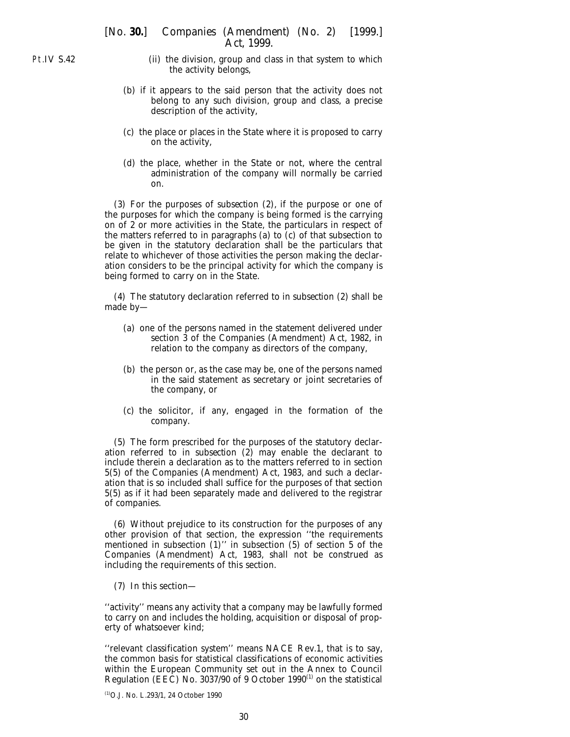Pt.IV S.42

- (ii) the division, group and class in that system to which the activity belongs,
- (*b*) if it appears to the said person that the activity does not belong to any such division, group and class, a precise description of the activity,
- (*c*) the place or places in the State where it is proposed to carry on the activity,
- (*d*) the place, whether in the State or not, where the central administration of the company will normally be carried on.

(3) For the purposes of *subsection (2)*, if the purpose or one of the purposes for which the company is being formed is the carrying on of 2 or more activities in the State, the particulars in respect of the matters referred to in *paragraphs (a)* to *(c)* of that subsection to be given in the statutory declaration shall be the particulars that relate to whichever of those activities the person making the declaration considers to be the principal activity for which the company is being formed to carry on in the State.

(4) The statutory declaration referred to in *subsection (2)* shall be made by—

- (*a*) one of the persons named in the statement delivered under section 3 of the Companies (Amendment) Act, 1982, in relation to the company as directors of the company,
- (*b*) the person or, as the case may be, one of the persons named in the said statement as secretary or joint secretaries of the company, or
- (*c*) the solicitor, if any, engaged in the formation of the company.

(5) The form prescribed for the purposes of the statutory declaration referred to in *subsection (2)* may enable the declarant to include therein a declaration as to the matters referred to in section 5(5) of the Companies (Amendment) Act, 1983, and such a declaration that is so included shall suffice for the purposes of that section 5(5) as if it had been separately made and delivered to the registrar of companies.

(6) Without prejudice to its construction for the purposes of any other provision of that section, the expression ''the requirements mentioned in subsection (1)'' in subsection (5) of section 5 of the Companies (Amendment) Act, 1983, shall not be construed as including the requirements of this section.

(7) In this section—

''activity'' means any activity that a company may be lawfully formed to carry on and includes the holding, acquisition or disposal of property of whatsoever kind;

''relevant classification system'' means NACE Rev.1, that is to say, the common basis for statistical classifications of economic activities within the European Community set out in the Annex to Council Regulation (EEC) No. 3037/90 of 9 October 1990<sup>(1)</sup> on the statistical

<sup>(1)</sup>O.J. No. L.293/1, 24 October 1990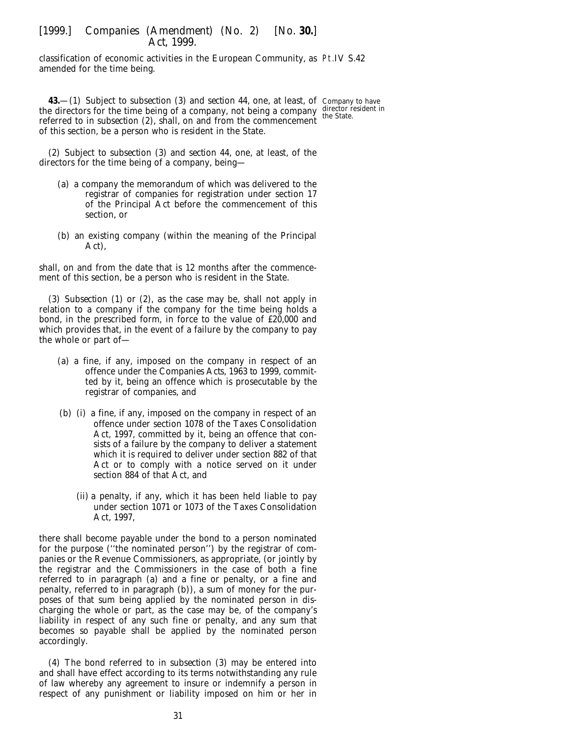<span id="page-30-0"></span>classification of economic activities in the European Community, as Pt.IV S.42 amended for the time being.

**43.**—(1) Subject to *subsection (3)* and *section 44*, one, at least, of Company to have the directors for the time being of a company, not being a company referred to in *subsection (2)*, shall, on and from the commencement of this section, be a person who is resident in the State.

director resident in the State.

(2) Subject to *subsection (3)* and *section 44*, one, at least, of the directors for the time being of a company, being—

- (*a*) a company the memorandum of which was delivered to the registrar of companies for registration under section 17 of the Principal Act before the commencement of this section, or
- (*b*) an existing company (within the meaning of the Principal Act),

shall, on and from the date that is 12 months after the commencement of this section, be a person who is resident in the State.

(3) *Subsection (1)* or *(2)*, as the case may be, shall not apply in relation to a company if the company for the time being holds a bond, in the prescribed form, in force to the value of £20,000 and which provides that, in the event of a failure by the company to pay the whole or part of—

- (*a*) a fine, if any, imposed on the company in respect of an offence under the *Companies Acts, 1963 to 1999*, committed by it, being an offence which is prosecutable by the registrar of companies, and
- (*b*) (i) a fine, if any, imposed on the company in respect of an offence under section 1078 of the Taxes Consolidation Act, 1997, committed by it, being an offence that consists of a failure by the company to deliver a statement which it is required to deliver under section 882 of that Act or to comply with a notice served on it under section 884 of that Act, and
	- (ii) a penalty, if any, which it has been held liable to pay under section 1071 or 1073 of the Taxes Consolidation Act, 1997,

there shall become payable under the bond to a person nominated for the purpose (''the nominated person'') by the registrar of companies or the Revenue Commissioners, as appropriate, (or jointly by the registrar and the Commissioners in the case of both a fine referred to in *paragraph (a)* and a fine or penalty, or a fine and penalty, referred to in *paragraph (b)*), a sum of money for the purposes of that sum being applied by the nominated person in discharging the whole or part, as the case may be, of the company's liability in respect of any such fine or penalty, and any sum that becomes so payable shall be applied by the nominated person accordingly.

(4) The bond referred to in *subsection (3)* may be entered into and shall have effect according to its terms notwithstanding any rule of law whereby any agreement to insure or indemnify a person in respect of any punishment or liability imposed on him or her in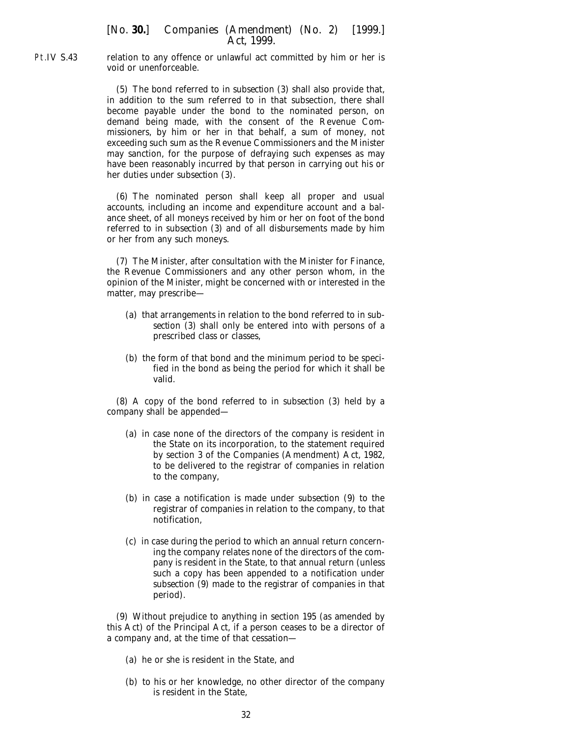Pt.IV S.43

relation to any offence or unlawful act committed by him or her is void or unenforceable.

(5) The bond referred to in *subsection (3)* shall also provide that, in addition to the sum referred to in that subsection, there shall become payable under the bond to the nominated person, on demand being made, with the consent of the Revenue Commissioners, by him or her in that behalf, a sum of money, not exceeding such sum as the Revenue Commissioners and the Minister may sanction, for the purpose of defraying such expenses as may have been reasonably incurred by that person in carrying out his or her duties under *subsection (3)*.

(6) The nominated person shall keep all proper and usual accounts, including an income and expenditure account and a balance sheet, of all moneys received by him or her on foot of the bond referred to in *subsection (3)* and of all disbursements made by him or her from any such moneys.

(7) The Minister, after consultation with the Minister for Finance, the Revenue Commissioners and any other person whom, in the opinion of the Minister, might be concerned with or interested in the matter, may prescribe—

- (*a*) that arrangements in relation to the bond referred to in *subsection (3)* shall only be entered into with persons of a prescribed class or classes,
- (*b*) the form of that bond and the minimum period to be specified in the bond as being the period for which it shall be valid.

(8) A copy of the bond referred to in *subsection (3)* held by a company shall be appended—

- (*a*) in case none of the directors of the company is resident in the State on its incorporation, to the statement required by section 3 of the Companies (Amendment) Act, 1982, to be delivered to the registrar of companies in relation to the company,
- (*b*) in case a notification is made under *subsection (9)* to the registrar of companies in relation to the company, to that notification,
- (*c*) in case during the period to which an annual return concerning the company relates none of the directors of the company is resident in the State, to that annual return (unless such a copy has been appended to a notification under *subsection (9)* made to the registrar of companies in that period).

(9) Without prejudice to anything in section 195 (as amended by this Act) of the Principal Act, if a person ceases to be a director of a company and, at the time of that cessation—

- (*a*) he or she is resident in the State, and
- (*b*) to his or her knowledge, no other director of the company is resident in the State,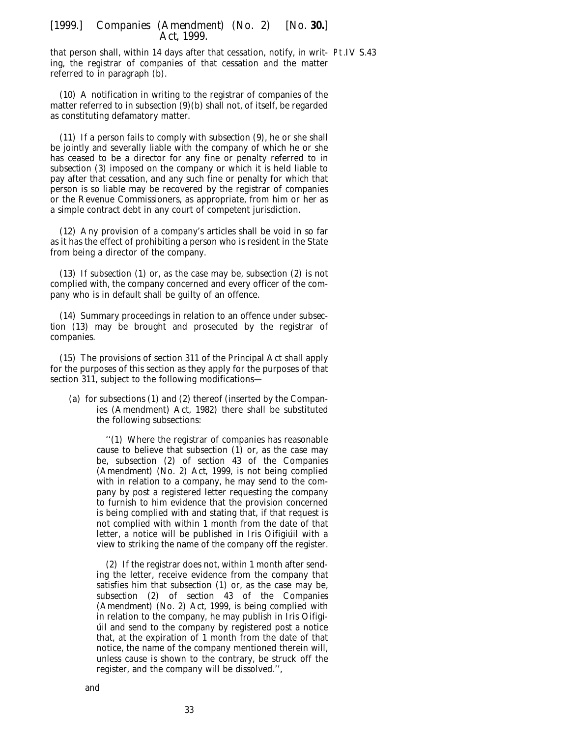that person shall, within 14 days after that cessation, notify, in writ-Pt.IV S.43ing, the registrar of companies of that cessation and the matter referred to in *paragraph (b)*.

(10) A notification in writing to the registrar of companies of the matter referred to in *subsection (9)(b)* shall not, of itself, be regarded as constituting defamatory matter.

(11) If a person fails to comply with *subsection (9)*, he or she shall be jointly and severally liable with the company of which he or she has ceased to be a director for any fine or penalty referred to in *subsection (3)* imposed on the company or which it is held liable to pay after that cessation, and any such fine or penalty for which that person is so liable may be recovered by the registrar of companies or the Revenue Commissioners, as appropriate, from him or her as a simple contract debt in any court of competent jurisdiction.

(12) Any provision of a company's articles shall be void in so far as it has the effect of prohibiting a person who is resident in the State from being a director of the company.

(13) If *subsection (1)* or, as the case may be, *subsection (2)* is not complied with, the company concerned and every officer of the company who is in default shall be guilty of an offence.

(14) Summary proceedings in relation to an offence under *subsection (13)* may be brought and prosecuted by the registrar of companies.

(15) The provisions of section 311 of the Principal Act shall apply for the purposes of this section as they apply for the purposes of that section 311, subject to the following modifications—

(*a*) for subsections (1) and (2) thereof (inserted by the Companies (Amendment) Act, 1982) there shall be substituted the following subsections:

> ''(1) Where the registrar of companies has reasonable cause to believe that *subsection (1)* or, as the case may be, *subsection (2)* of *section 43* of the *Companies (Amendment) (No. 2) Act, 1999*, is not being complied with in relation to a company, he may send to the company by post a registered letter requesting the company to furnish to him evidence that the provision concerned is being complied with and stating that, if that request is not complied with within 1 month from the date of that letter, a notice will be published in *Iris Oifigiúil* with a view to striking the name of the company off the register.

> (2) If the registrar does not, within 1 month after sending the letter, receive evidence from the company that satisfies him that *subsection (1)* or, as the case may be, *subsection (2)* of *section 43* of the *Companies (Amendment) (No. 2) Act, 1999*, is being complied with in relation to the company, he may publish in *Iris Oifigiu<sup>il</sup>* and send to the company by registered post a notice that, at the expiration of 1 month from the date of that notice, the name of the company mentioned therein will, unless cause is shown to the contrary, be struck off the register, and the company will be dissolved.'',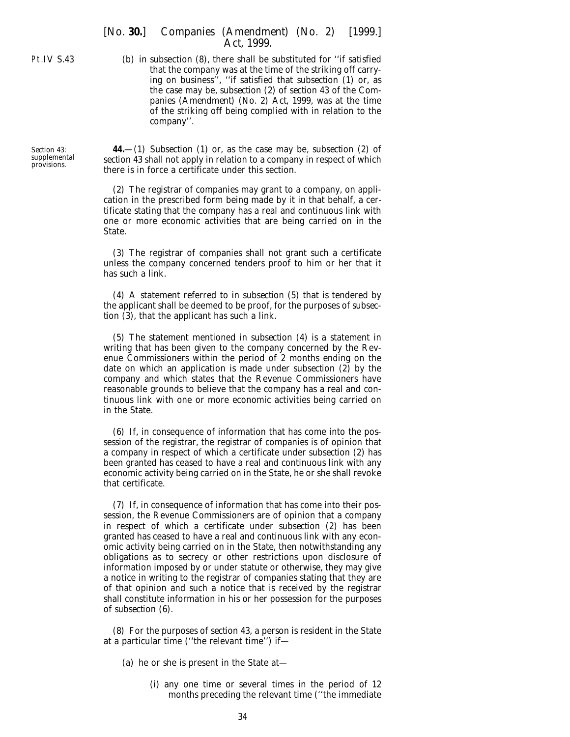<span id="page-33-0"></span>Pt.IV S.43

(*b*) in subsection (8), there shall be substituted for ''if satisfied that the company was at the time of the striking off carrying on business'', ''if satisfied that *subsection (1)* or, as the case may be, *subsection (2)* of *section 43* of the *Companies (Amendment) (No. 2) Act, 1999*, was at the time of the striking off being complied with in relation to the company''.

*Section 43*: supplemental provisions.

**44.**—(1) *Subsection (1)* or, as the case may be, *subsection (2)* of *section 43* shall not apply in relation to a company in respect of which there is in force a certificate under this section.

(2) The registrar of companies may grant to a company, on application in the prescribed form being made by it in that behalf, a certificate stating that the company has a real and continuous link with one or more economic activities that are being carried on in the State.

(3) The registrar of companies shall not grant such a certificate unless the company concerned tenders proof to him or her that it has such a link.

(4) A statement referred to in *subsection (5)* that is tendered by the applicant shall be deemed to be proof, for the purposes of *subsection (3)*, that the applicant has such a link.

(5) The statement mentioned in *subsection (4)* is a statement in writing that has been given to the company concerned by the Revenue Commissioners within the period of 2 months ending on the date on which an application is made under *subsection (2)* by the company and which states that the Revenue Commissioners have reasonable grounds to believe that the company has a real and continuous link with one or more economic activities being carried on in the State.

(6) If, in consequence of information that has come into the possession of the registrar, the registrar of companies is of opinion that a company in respect of which a certificate under *subsection (2)* has been granted has ceased to have a real and continuous link with any economic activity being carried on in the State, he or she shall revoke that certificate.

(7) If, in consequence of information that has come into their possession, the Revenue Commissioners are of opinion that a company in respect of which a certificate under *subsection (2)* has been granted has ceased to have a real and continuous link with any economic activity being carried on in the State, then notwithstanding any obligations as to secrecy or other restrictions upon disclosure of information imposed by or under statute or otherwise, they may give a notice in writing to the registrar of companies stating that they are of that opinion and such a notice that is received by the registrar shall constitute information in his or her possession for the purposes of *subsection (6)*.

(8) For the purposes of *section 43*, a person is resident in the State at a particular time (''the relevant time'') if—

- (*a*) he or she is present in the State at—
	- (i) any one time or several times in the period of 12 months preceding the relevant time (''the immediate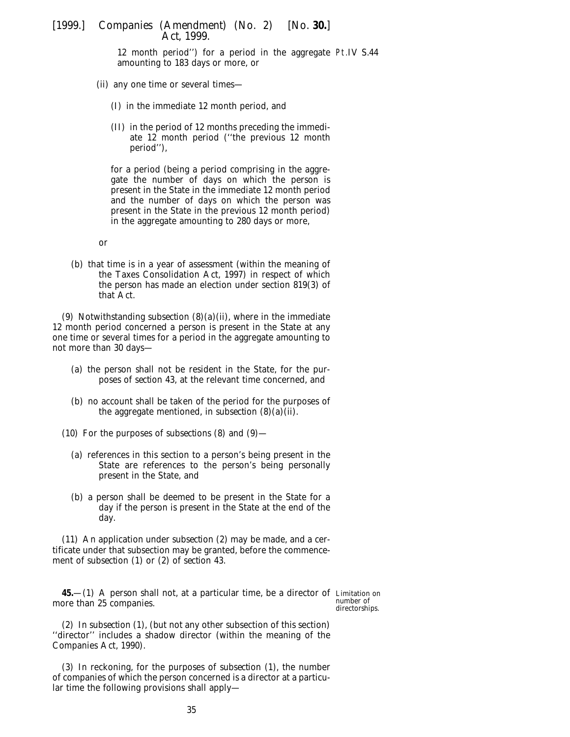<span id="page-34-0"></span>12 month period'') for a period in the aggregate Pt.IV S.44 amounting to 183 days or more, or

- (ii) any one time or several times—
	- (I) in the immediate 12 month period, and
	- (II) in the period of 12 months preceding the immediate 12 month period (''the previous 12 month period''),

for a period (being a period comprising in the aggregate the number of days on which the person is present in the State in the immediate 12 month period and the number of days on which the person was present in the State in the previous 12 month period) in the aggregate amounting to 280 days or more,

- or
- (*b*) that time is in a year of assessment (within the meaning of the Taxes Consolidation Act, 1997) in respect of which the person has made an election under section 819(3) of that Act.

(9) Notwithstanding *subsection (8)(a)(ii)*, where in the immediate 12 month period concerned a person is present in the State at any one time or several times for a period in the aggregate amounting to not more than 30 days—

- (*a*) the person shall not be resident in the State, for the purposes of *section 43*, at the relevant time concerned, and
- (*b*) no account shall be taken of the period for the purposes of the aggregate mentioned, in *subsection (8)(a)(ii)*.
- (10) For the purposes of *subsections (8)* and *(9)*
	- (*a*) references in this section to a person's being present in the State are references to the person's being personally present in the State, and
	- (*b*) a person shall be deemed to be present in the State for a day if the person is present in the State at the end of the day.

(11) An application under *subsection (2)* may be made, and a certificate under that subsection may be granted, before the commencement of *subsection (1)* or *(2)* of *section 43*.

**45.**—(1) A person shall not, at a particular time, be a director of Limitation on more than 25 companies.

number of directorships.

(2) In *subsection (1)*, (but not any other subsection of this section) ''director'' includes a shadow director (within the meaning of the Companies Act, 1990).

(3) In reckoning, for the purposes of *subsection (1)*, the number of companies of which the person concerned is a director at a particular time the following provisions shall apply—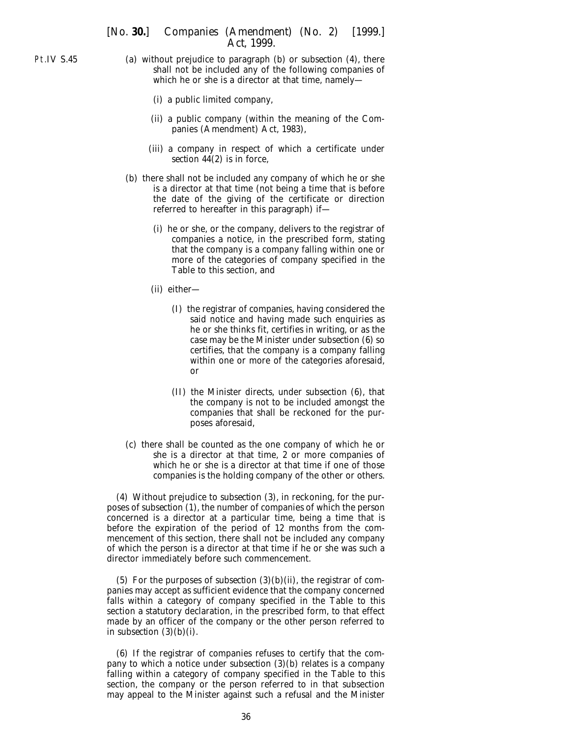- (*a*) without prejudice to *paragraph (b)* or *subsection (4)*, there shall not be included any of the following companies of which he or she is a director at that time, namely—
	- (i) a public limited company,
	- (ii) a public company (within the meaning of the Companies (Amendment) Act, 1983),
	- (iii) a company in respect of which a certificate under *section 44(2)* is in force,
- (*b*) there shall not be included any company of which he or she is a director at that time (not being a time that is before the date of the giving of the certificate or direction referred to hereafter in this paragraph) if—
	- (i) he or she, or the company, delivers to the registrar of companies a notice, in the prescribed form, stating that the company is a company falling within one or more of the categories of company specified in the Table to this section, and
	- (ii) either—
		- (I) the registrar of companies, having considered the said notice and having made such enquiries as he or she thinks fit, certifies in writing, or as the case may be the Minister under *subsection (6)* so certifies, that the company is a company falling within one or more of the categories aforesaid, or
		- (II) the Minister directs, under *subsection (6)*, that the company is not to be included amongst the companies that shall be reckoned for the purposes aforesaid,
- (*c*) there shall be counted as the one company of which he or she is a director at that time, 2 or more companies of which he or she is a director at that time if one of those companies is the holding company of the other or others.

(4) Without prejudice to *subsection (3)*, in reckoning, for the purposes of *subsection (1)*, the number of companies of which the person concerned is a director at a particular time, being a time that is before the expiration of the period of 12 months from the commencement of this section, there shall not be included any company of which the person is a director at that time if he or she was such a director immediately before such commencement.

(5) For the purposes of *subsection (3)(b)(ii)*, the registrar of companies may accept as sufficient evidence that the company concerned falls within a category of company specified in the Table to this section a statutory declaration, in the prescribed form, to that effect made by an officer of the company or the other person referred to in *subsection*  $(3)(b)(i)$ .

(6) If the registrar of companies refuses to certify that the company to which a notice under *subsection (3)(b)* relates is a company falling within a category of company specified in the Table to this section, the company or the person referred to in that subsection may appeal to the Minister against such a refusal and the Minister

Pt.IV S.45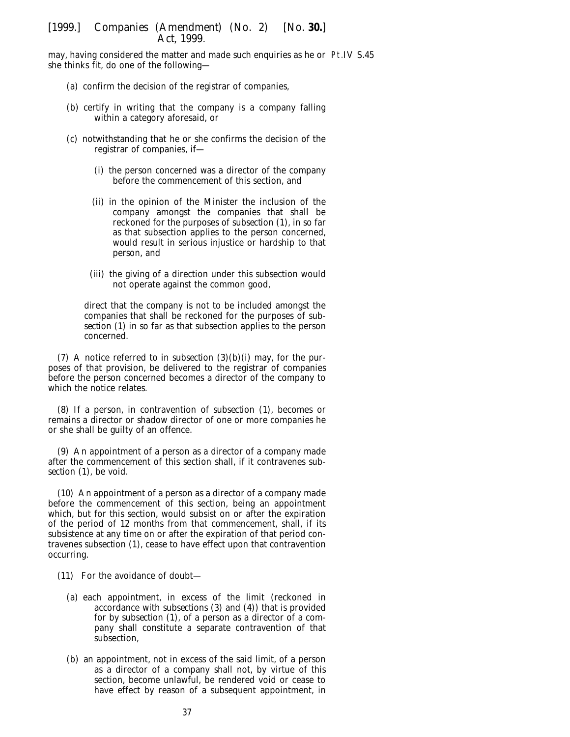may, having considered the matter and made such enquiries as he or Pt.IV S.45she thinks fit, do one of the following—

- (*a*) confirm the decision of the registrar of companies,
- (*b*) certify in writing that the company is a company falling within a category aforesaid, or
- (*c*) notwithstanding that he or she confirms the decision of the registrar of companies, if—
	- (i) the person concerned was a director of the company before the commencement of this section, and
	- (ii) in the opinion of the Minister the inclusion of the company amongst the companies that shall be reckoned for the purposes of *subsection (1)*, in so far as that subsection applies to the person concerned, would result in serious injustice or hardship to that person, and
	- (iii) the giving of a direction under this subsection would not operate against the common good,

direct that the company is not to be included amongst the companies that shall be reckoned for the purposes of *subsection (1)* in so far as that subsection applies to the person concerned.

(7) A notice referred to in *subsection (3)(b)(i)* may, for the purposes of that provision, be delivered to the registrar of companies before the person concerned becomes a director of the company to which the notice relates.

(8) If a person, in contravention of *subsection (1)*, becomes or remains a director or shadow director of one or more companies he or she shall be guilty of an offence.

(9) An appointment of a person as a director of a company made after the commencement of this section shall, if it contravenes *subsection (1)*, be void.

(10) An appointment of a person as a director of a company made before the commencement of this section, being an appointment which, but for this section, would subsist on or after the expiration of the period of 12 months from that commencement, shall, if its subsistence at any time on or after the expiration of that period contravenes *subsection (1)*, cease to have effect upon that contravention occurring.

- (11) For the avoidance of doubt—
	- (*a*) each appointment, in excess of the limit (reckoned in accordance with *subsections (3)* and *(4)*) that is provided for by *subsection (1)*, of a person as a director of a company shall constitute a separate contravention of that subsection,
	- (*b*) an appointment, not in excess of the said limit, of a person as a director of a company shall not, by virtue of this section, become unlawful, be rendered void or cease to have effect by reason of a subsequent appointment, in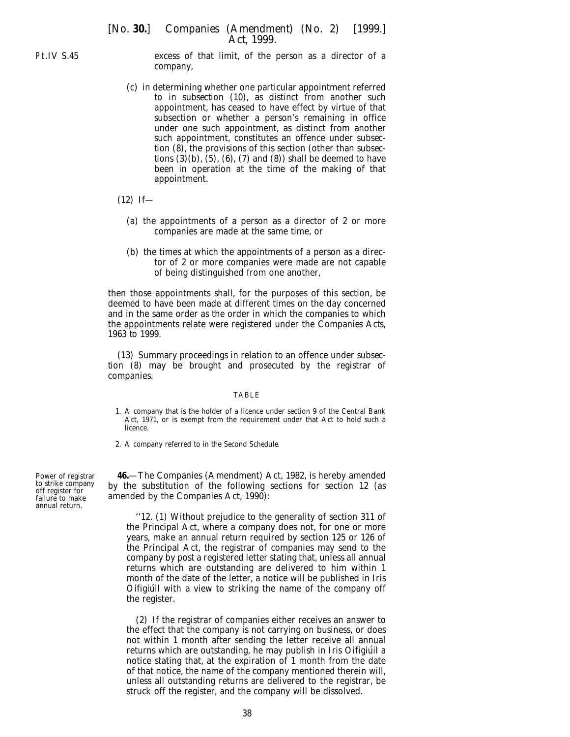<span id="page-37-0"></span>Pt.IV S.45

excess of that limit, of the person as a director of a company,

- (*c*) in determining whether one particular appointment referred to in *subsection (10)*, as distinct from another such appointment, has ceased to have effect by virtue of that subsection or whether a person's remaining in office under one such appointment, as distinct from another such appointment, constitutes an offence under *subsection (8)*, the provisions of this section (other than *subsections (3)(b)*, *(5)*, *(6)*, *(7)* and *(8)*) shall be deemed to have been in operation at the time of the making of that appointment.
- (12) If—
	- (*a*) the appointments of a person as a director of 2 or more companies are made at the same time, or
	- (*b*) the times at which the appointments of a person as a director of 2 or more companies were made are not capable of being distinguished from one another,

then those appointments shall, for the purposes of this section, be deemed to have been made at different times on the day concerned and in the same order as the order in which the companies to which the appointments relate were registered under the *Companies Acts, 1963 to 1999*.

(13) Summary proceedings in relation to an offence under *subsection (8)* may be brought and prosecuted by the registrar of companies.

#### TABLE

- 1. A company that is the holder of a licence under section 9 of the Central Bank Act, 1971, or is exempt from the requirement under that Act to hold such a licence.
- 2. A company referred to in the *Second Schedule*.

**46.**—The Companies (Amendment) Act, 1982, is hereby amended by the substitution of the following sections for section 12 (as amended by the Companies Act, 1990):

"12. (1) Without prejudice to the generality of section 311 of the Principal Act, where a company does not, for one or more years, make an annual return required by section 125 or 126 of the Principal Act, the registrar of companies may send to the company by post a registered letter stating that, unless all annual returns which are outstanding are delivered to him within 1 month of the date of the letter, a notice will be published in *Iris Oifigiúil* with a view to striking the name of the company off the register.

(2) If the registrar of companies either receives an answer to the effect that the company is not carrying on business, or does not within 1 month after sending the letter receive all annual returns which are outstanding, he may publish in *Iris Oifigiúil* a notice stating that, at the expiration of 1 month from the date of that notice, the name of the company mentioned therein will, unless all outstanding returns are delivered to the registrar, be struck off the register, and the company will be dissolved.

Power of registrar to strike company off register for failure to make annual return.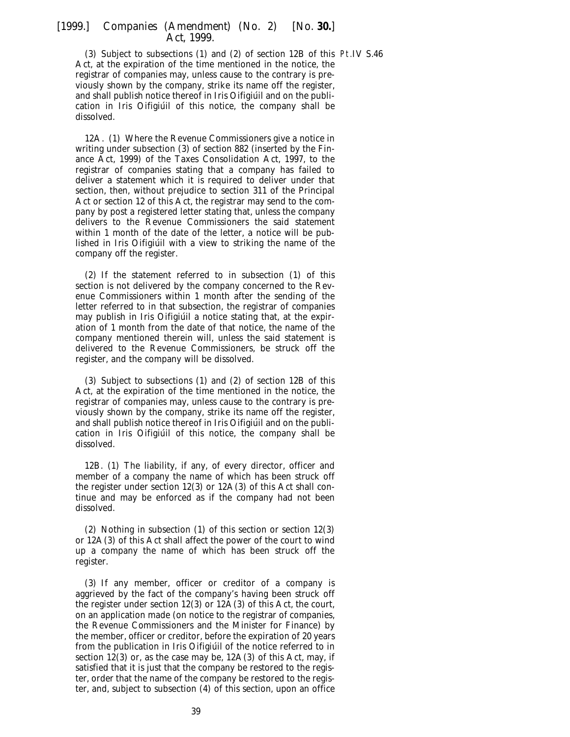(3) Subject to subsections (1) and (2) of section 12B of this Pt.IV S.46Act, at the expiration of the time mentioned in the notice, the registrar of companies may, unless cause to the contrary is previously shown by the company, strike its name off the register, and shall publish notice thereof in *Iris Oifigiúil* and on the publication in *Iris Oifigiúil* of this notice, the company shall be dissolved.

12A. (1) Where the Revenue Commissioners give a notice in writing under subsection (3) of section 882 (inserted by the Finance Act, 1999) of the Taxes Consolidation Act, 1997, to the registrar of companies stating that a company has failed to deliver a statement which it is required to deliver under that section, then, without prejudice to section 311 of the Principal Act or section 12 of this Act, the registrar may send to the company by post a registered letter stating that, unless the company delivers to the Revenue Commissioners the said statement within 1 month of the date of the letter, a notice will be published in *Iris Oifigiu´il* with a view to striking the name of the company off the register.

(2) If the statement referred to in subsection (1) of this section is not delivered by the company concerned to the Revenue Commissioners within 1 month after the sending of the letter referred to in that subsection, the registrar of companies may publish in *Iris Oifigiúil* a notice stating that, at the expiration of 1 month from the date of that notice, the name of the company mentioned therein will, unless the said statement is delivered to the Revenue Commissioners, be struck off the register, and the company will be dissolved.

(3) Subject to subsections (1) and (2) of section 12B of this Act, at the expiration of the time mentioned in the notice, the registrar of companies may, unless cause to the contrary is previously shown by the company, strike its name off the register, and shall publish notice thereof in *Iris Oifigiúil* and on the publication in *Iris Oifigiúil* of this notice, the company shall be dissolved.

12B. (1) The liability, if any, of every director, officer and member of a company the name of which has been struck off the register under section 12(3) or 12A(3) of this Act shall continue and may be enforced as if the company had not been dissolved.

(2) Nothing in subsection (1) of this section or section 12(3) or 12A(3) of this Act shall affect the power of the court to wind up a company the name of which has been struck off the register.

(3) If any member, officer or creditor of a company is aggrieved by the fact of the company's having been struck off the register under section 12(3) or 12A(3) of this Act, the court, on an application made (on notice to the registrar of companies, the Revenue Commissioners and the Minister for Finance) by the member, officer or creditor, before the expiration of 20 years from the publication in *Iris Oifigiúil* of the notice referred to in section 12(3) or, as the case may be,  $12A(3)$  of this Act, may, if satisfied that it is just that the company be restored to the register, order that the name of the company be restored to the register, and, subject to subsection (4) of this section, upon an office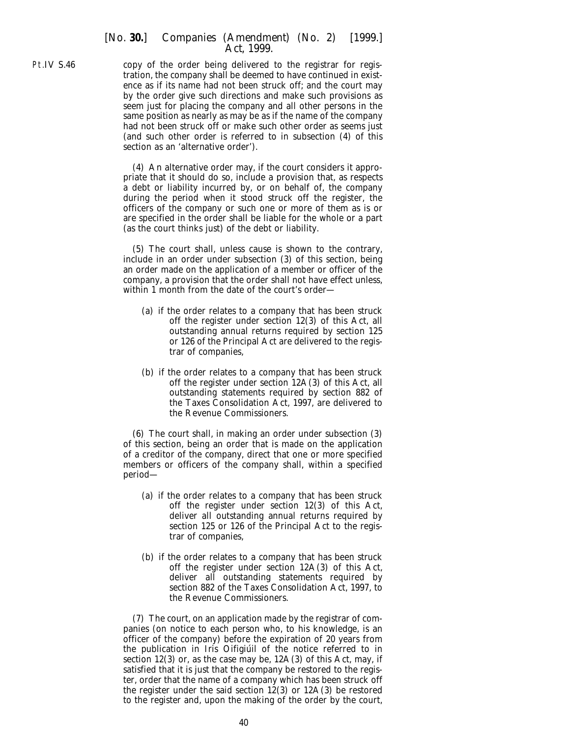# [*No.* **30.**] *Companies (Amendment) (No. 2)* [1999.] *Act,* 1999.

Pt.IV S.46

copy of the order being delivered to the registrar for registration, the company shall be deemed to have continued in existence as if its name had not been struck off; and the court may by the order give such directions and make such provisions as seem just for placing the company and all other persons in the same position as nearly as may be as if the name of the company had not been struck off or make such other order as seems just (and such other order is referred to in subsection (4) of this section as an 'alternative order').

(4) An alternative order may, if the court considers it appropriate that it should do so, include a provision that, as respects a debt or liability incurred by, or on behalf of, the company during the period when it stood struck off the register, the officers of the company or such one or more of them as is or are specified in the order shall be liable for the whole or a part (as the court thinks just) of the debt or liability.

(5) The court shall, unless cause is shown to the contrary, include in an order under subsection (3) of this section, being an order made on the application of a member or officer of the company, a provision that the order shall not have effect unless, within 1 month from the date of the court's order—

- (*a*) if the order relates to a company that has been struck off the register under section 12(3) of this Act, all outstanding annual returns required by section 125 or 126 of the Principal Act are delivered to the registrar of companies,
- (*b*) if the order relates to a company that has been struck off the register under section 12A(3) of this Act, all outstanding statements required by section 882 of the Taxes Consolidation Act, 1997, are delivered to the Revenue Commissioners.

(6) The court shall, in making an order under subsection (3) of this section, being an order that is made on the application of a creditor of the company, direct that one or more specified members or officers of the company shall, within a specified period—

- (*a*) if the order relates to a company that has been struck off the register under section 12(3) of this Act, deliver all outstanding annual returns required by section 125 or 126 of the Principal Act to the registrar of companies,
- (*b*) if the order relates to a company that has been struck off the register under section 12A(3) of this Act, deliver all outstanding statements required by section 882 of the Taxes Consolidation Act, 1997, to the Revenue Commissioners.

(7) The court, on an application made by the registrar of companies (on notice to each person who, to his knowledge, is an officer of the company) before the expiration of 20 years from the publication in *Iris Oifigiúil* of the notice referred to in section 12(3) or, as the case may be, 12A(3) of this Act, may, if satisfied that it is just that the company be restored to the register, order that the name of a company which has been struck off the register under the said section  $12(3)$  or  $12A(3)$  be restored to the register and, upon the making of the order by the court,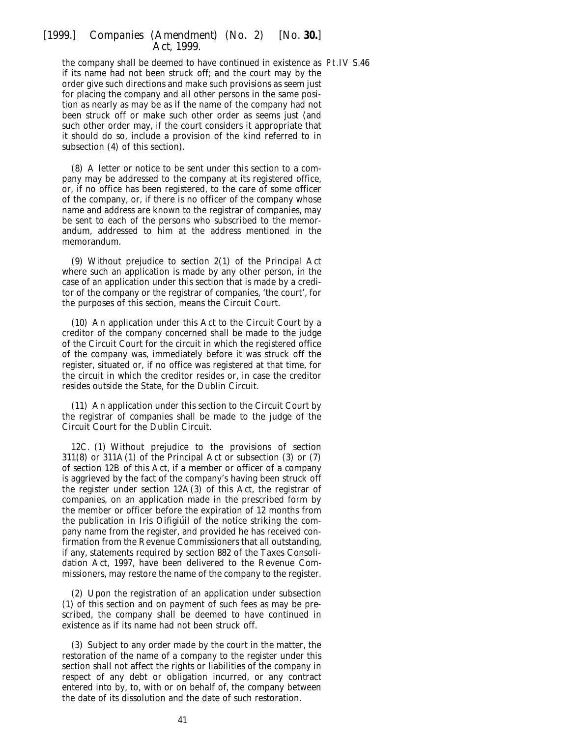the company shall be deemed to have continued in existence as Pt.IV S.46if its name had not been struck off; and the court may by the order give such directions and make such provisions as seem just for placing the company and all other persons in the same position as nearly as may be as if the name of the company had not been struck off or make such other order as seems just (and such other order may, if the court considers it appropriate that it should do so, include a provision of the kind referred to in subsection (4) of this section).

(8) A letter or notice to be sent under this section to a company may be addressed to the company at its registered office, or, if no office has been registered, to the care of some officer of the company, or, if there is no officer of the company whose name and address are known to the registrar of companies, may be sent to each of the persons who subscribed to the memorandum, addressed to him at the address mentioned in the memorandum.

(9) Without prejudice to section 2(1) of the Principal Act where such an application is made by any other person, in the case of an application under this section that is made by a creditor of the company or the registrar of companies, 'the court', for the purposes of this section, means the Circuit Court.

(10) An application under this Act to the Circuit Court by a creditor of the company concerned shall be made to the judge of the Circuit Court for the circuit in which the registered office of the company was, immediately before it was struck off the register, situated or, if no office was registered at that time, for the circuit in which the creditor resides or, in case the creditor resides outside the State, for the Dublin Circuit.

(11) An application under this section to the Circuit Court by the registrar of companies shall be made to the judge of the Circuit Court for the Dublin Circuit.

12C. (1) Without prejudice to the provisions of section 311(8) or 311A(1) of the Principal Act or subsection (3) or (7) of section 12B of this Act, if a member or officer of a company is aggrieved by the fact of the company's having been struck off the register under section 12A(3) of this Act, the registrar of companies, on an application made in the prescribed form by the member or officer before the expiration of 12 months from the publication in *Iris Oifigiúil* of the notice striking the company name from the register, and provided he has received confirmation from the Revenue Commissioners that all outstanding, if any, statements required by section 882 of the Taxes Consolidation Act, 1997, have been delivered to the Revenue Commissioners, may restore the name of the company to the register.

(2) Upon the registration of an application under subsection (1) of this section and on payment of such fees as may be prescribed, the company shall be deemed to have continued in existence as if its name had not been struck off.

(3) Subject to any order made by the court in the matter, the restoration of the name of a company to the register under this section shall not affect the rights or liabilities of the company in respect of any debt or obligation incurred, or any contract entered into by, to, with or on behalf of, the company between the date of its dissolution and the date of such restoration.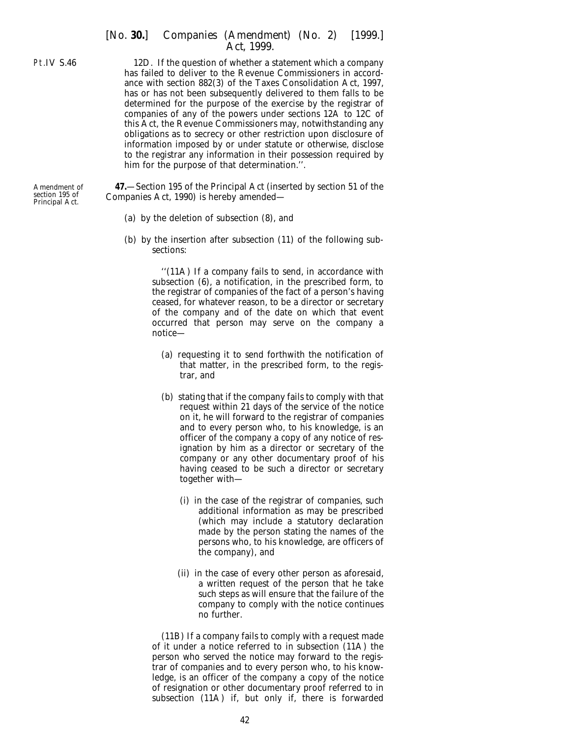### <span id="page-41-0"></span>Pt.IV S.46

12D. If the question of whether a statement which a company has failed to deliver to the Revenue Commissioners in accordance with section 882(3) of the Taxes Consolidation Act, 1997, has or has not been subsequently delivered to them falls to be determined for the purpose of the exercise by the registrar of companies of any of the powers under sections 12A to 12C of this Act, the Revenue Commissioners may, notwithstanding any obligations as to secrecy or other restriction upon disclosure of information imposed by or under statute or otherwise, disclose to the registrar any information in their possession required by

[*No.* **30.**] *Companies (Amendment) (No. 2)* [1999.] *Act,* 1999.

**47.**—Section 195 of the Principal Act (inserted by section 51 of the Companies Act, 1990) is hereby amended—

(*a*) by the deletion of subsection (8), and

him for the purpose of that determination.''.

(*b*) by the insertion after subsection (11) of the following subsections:

> ''(11A) If a company fails to send, in accordance with subsection (6), a notification, in the prescribed form, to the registrar of companies of the fact of a person's having ceased, for whatever reason, to be a director or secretary of the company and of the date on which that event occurred that person may serve on the company a notice—

- (*a*) requesting it to send forthwith the notification of that matter, in the prescribed form, to the registrar, and
- (*b*) stating that if the company fails to comply with that request within 21 days of the service of the notice on it, he will forward to the registrar of companies and to every person who, to his knowledge, is an officer of the company a copy of any notice of resignation by him as a director or secretary of the company or any other documentary proof of his having ceased to be such a director or secretary together with—
	- (i) in the case of the registrar of companies, such additional information as may be prescribed (which may include a statutory declaration made by the person stating the names of the persons who, to his knowledge, are officers of the company), and
	- (ii) in the case of every other person as aforesaid, a written request of the person that he take such steps as will ensure that the failure of the company to comply with the notice continues no further.

(11B) If a company fails to comply with a request made of it under a notice referred to in subsection (11A) the person who served the notice may forward to the registrar of companies and to every person who, to his knowledge, is an officer of the company a copy of the notice of resignation or other documentary proof referred to in subsection (11A) if, but only if, there is forwarded

Amendment of section 195 of Principal Act.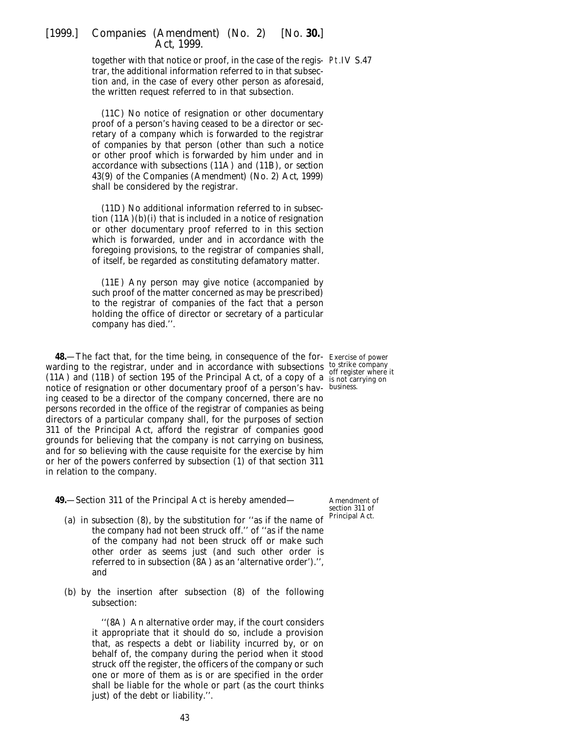<span id="page-42-0"></span>together with that notice or proof, in the case of the regis-Pt.IV S.47 trar, the additional information referred to in that subsection and, in the case of every other person as aforesaid, the written request referred to in that subsection.

(11C) No notice of resignation or other documentary proof of a person's having ceased to be a director or secretary of a company which is forwarded to the registrar of companies by that person (other than such a notice or other proof which is forwarded by him under and in accordance with subsections (11A) and (11B), or *section 43(9)* of the *Companies (Amendment) (No. 2) Act, 1999*) shall be considered by the registrar.

(11D) No additional information referred to in subsection  $(11A)(b)(i)$  that is included in a notice of resignation or other documentary proof referred to in this section which is forwarded, under and in accordance with the foregoing provisions, to the registrar of companies shall, of itself, be regarded as constituting defamatory matter.

(11E) Any person may give notice (accompanied by such proof of the matter concerned as may be prescribed) to the registrar of companies of the fact that a person holding the office of director or secretary of a particular company has died.''.

**48**—The fact that, for the time being, in consequence of the for-Exercise of power warding to the registrar, under and in accordance with subsections to strike company (11A) and (11B) of section 195 of the Principal Act, of a copy of a is not carrying on notice of resignation or other documentary proof of a person's hav-business. ing ceased to be a director of the company concerned, there are no persons recorded in the office of the registrar of companies as being directors of a particular company shall, for the purposes of section 311 of the Principal Act, afford the registrar of companies good grounds for believing that the company is not carrying on business, and for so believing with the cause requisite for the exercise by him or her of the powers conferred by subsection (1) of that section 311 in relation to the company.

off register where it

**49.**—Section 311 of the Principal Act is hereby amended—

- (*a*) in subsection (8), by the substitution for ''as if the name of the company had not been struck off.'' of ''as if the name of the company had not been struck off or make such other order as seems just (and such other order is referred to in subsection (8A) as an 'alternative order').'', and
- (*b*) by the insertion after subsection (8) of the following subsection:

''(8A) An alternative order may, if the court considers it appropriate that it should do so, include a provision that, as respects a debt or liability incurred by, or on behalf of, the company during the period when it stood struck off the register, the officers of the company or such one or more of them as is or are specified in the order shall be liable for the whole or part (as the court thinks just) of the debt or liability.''.

Amendment of section 311 of Principal Act.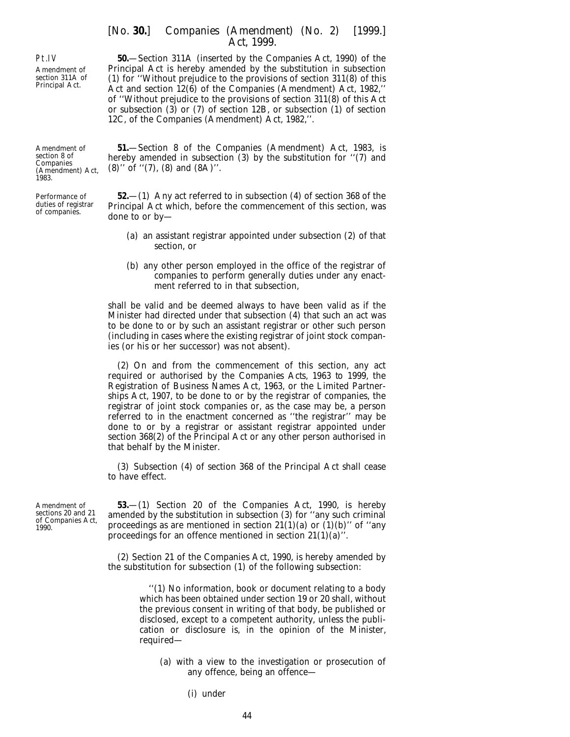#### <span id="page-43-0"></span>Pt.IV

Amendment of section 311A of Principal Act.

Amendment of section 8 of **Companies** (Amendment) Act, 1983.

Performance of duties of registrar of companies.

# [*No.* **30.**] *Companies (Amendment) (No. 2)* [1999.] *Act,* 1999.

**50.**—Section 311A (inserted by the Companies Act, 1990) of the Principal Act is hereby amended by the substitution in subsection (1) for ''Without prejudice to the provisions of section 311(8) of this Act and section 12(6) of the Companies (Amendment) Act, 1982,'' of ''Without prejudice to the provisions of section 311(8) of this Act or subsection (3) or (7) of section 12B, or subsection (1) of section 12C, of the Companies (Amendment) Act, 1982,''.

**51.**—Section 8 of the Companies (Amendment) Act, 1983, is hereby amended in subsection (3) by the substitution for "(7) and (8)'' of ''(7), (8) and (8A)''.

**52.**—(1) Any act referred to in subsection (4) of section 368 of the Principal Act which, before the commencement of this section, was done to or by—

- (*a*) an assistant registrar appointed under subsection (2) of that section, or
- (*b*) any other person employed in the office of the registrar of companies to perform generally duties under any enactment referred to in that subsection,

shall be valid and be deemed always to have been valid as if the Minister had directed under that subsection (4) that such an act was to be done to or by such an assistant registrar or other such person (including in cases where the existing registrar of joint stock companies (or his or her successor) was not absent).

(2) On and from the commencement of this section, any act required or authorised by the *Companies Acts, 1963 to 1999*, the Registration of Business Names Act, 1963, or the Limited Partnerships Act, 1907, to be done to or by the registrar of companies, the registrar of joint stock companies or, as the case may be, a person referred to in the enactment concerned as ''the registrar'' may be done to or by a registrar or assistant registrar appointed under section 368(2) of the Principal Act or any other person authorised in that behalf by the Minister.

(3) Subsection (4) of section 368 of the Principal Act shall cease to have effect.

Amendment of sections 20 and 21 of Companies Act, 1990.

**53.**—(1) Section 20 of the Companies Act, 1990, is hereby amended by the substitution in subsection (3) for ''any such criminal proceedings as are mentioned in section  $21(1)(a)$  or  $(1)(b)$ " of "any proceedings for an offence mentioned in section 21(1)(*a*)''.

(2) Section 21 of the Companies Act, 1990, is hereby amended by the substitution for subsection (1) of the following subsection:

> ''(1) No information, book or document relating to a body which has been obtained under section 19 or 20 shall, without the previous consent in writing of that body, be published or disclosed, except to a competent authority, unless the publication or disclosure is, in the opinion of the Minister, required—

- (*a*) with a view to the investigation or prosecution of any offence, being an offence—
	- (i) under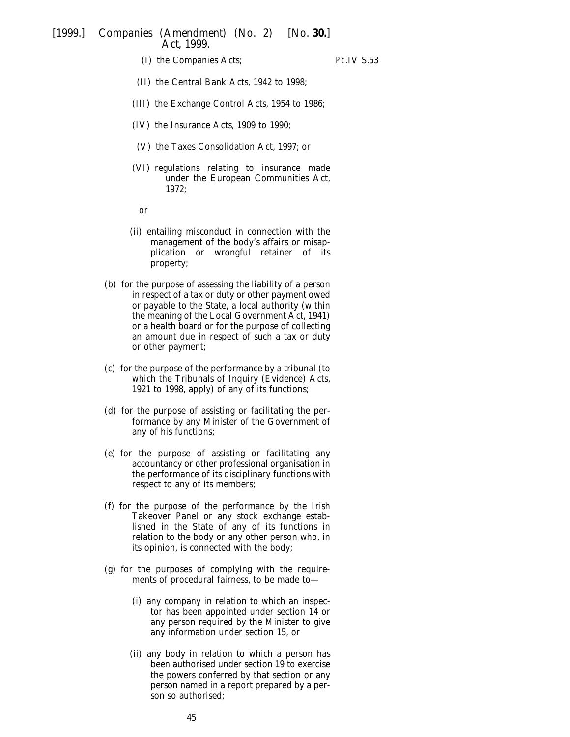(I) the Companies Acts;

- (II) the Central Bank Acts, 1942 to 1998;
- (III) the Exchange Control Acts, 1954 to 1986;
- (IV) the Insurance Acts, 1909 to 1990;
- (V) the Taxes Consolidation Act, 1997; or
- (VI) regulations relating to insurance made under the European Communities Act, 1972;
	- or
- (ii) entailing misconduct in connection with the management of the body's affairs or misapplication or wrongful retainer of its property;
- (*b*) for the purpose of assessing the liability of a person in respect of a tax or duty or other payment owed or payable to the State, a local authority (within the meaning of the Local Government Act, 1941) or a health board or for the purpose of collecting an amount due in respect of such a tax or duty or other payment;
- (*c*) for the purpose of the performance by a tribunal (to which the Tribunals of Inquiry (Evidence) Acts, 1921 to 1998, apply) of any of its functions;
- (*d*) for the purpose of assisting or facilitating the performance by any Minister of the Government of any of his functions;
- (*e*) for the purpose of assisting or facilitating any accountancy or other professional organisation in the performance of its disciplinary functions with respect to any of its members;
- (*f*) for the purpose of the performance by the Irish Takeover Panel or any stock exchange established in the State of any of its functions in relation to the body or any other person who, in its opinion, is connected with the body;
- (*g*) for the purposes of complying with the requirements of procedural fairness, to be made to—
	- (i) any company in relation to which an inspector has been appointed under section 14 or any person required by the Minister to give any information under section 15, or
	- (ii) any body in relation to which a person has been authorised under section 19 to exercise the powers conferred by that section or any person named in a report prepared by a person so authorised;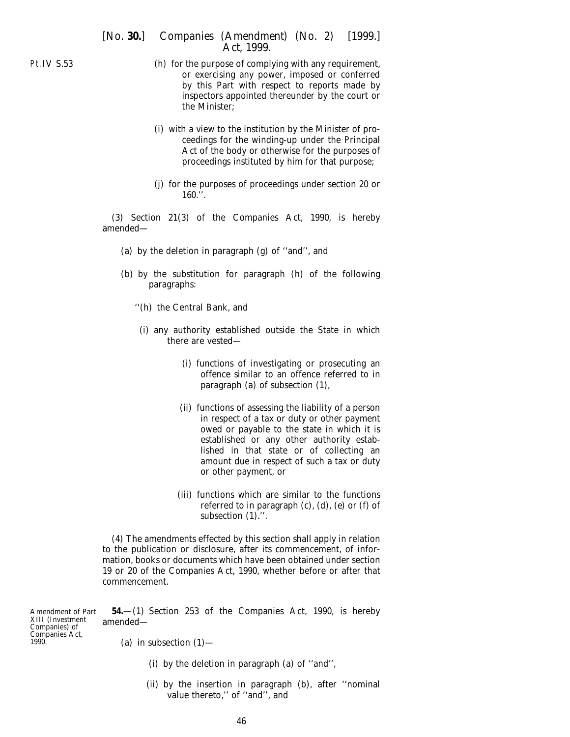- (*h*) for the purpose of complying with any requirement, or exercising any power, imposed or conferred by this Part with respect to reports made by inspectors appointed thereunder by the court or the Minister;
- (*i*) with a view to the institution by the Minister of proceedings for the winding-up under the Principal Act of the body or otherwise for the purposes of proceedings instituted by him for that purpose;
- (*j*) for the purposes of proceedings under section 20 or  $160.$

(3) Section 21(3) of the Companies Act, 1990, is hereby amended—

- (*a*) by the deletion in paragraph (*g*) of ''and'', and
- (*b*) by the substitution for paragraph (*h*) of the following paragraphs:
	- ''(*h*) the Central Bank, and
		- (*i*) any authority established outside the State in which there are vested—
			- (i) functions of investigating or prosecuting an offence similar to an offence referred to in paragraph (*a*) of subsection (1),
			- (ii) functions of assessing the liability of a person in respect of a tax or duty or other payment owed or payable to the state in which it is established or any other authority established in that state or of collecting an amount due in respect of such a tax or duty or other payment, or
			- (iii) functions which are similar to the functions referred to in paragraph (*c*), (*d*), (*e*) or (*f*) of subsection  $(1)$ .".

(4) The amendments effected by this section shall apply in relation to the publication or disclosure, after its commencement, of information, books or documents which have been obtained under section 19 or 20 of the Companies Act, 1990, whether before or after that commencement.

Amendment of Part XIII (Investment Companies) of Companies Act, 1990. **54.**—(1) Section 253 of the Companies Act, 1990, is hereby amended—

(*a*) in subsection  $(1)$ —

- (i) by the deletion in paragraph (*a*) of ''and'',
- (ii) by the insertion in paragraph (*b*), after ''nominal value thereto,'' of ''and'', and

<span id="page-45-0"></span>Pt.IV S.53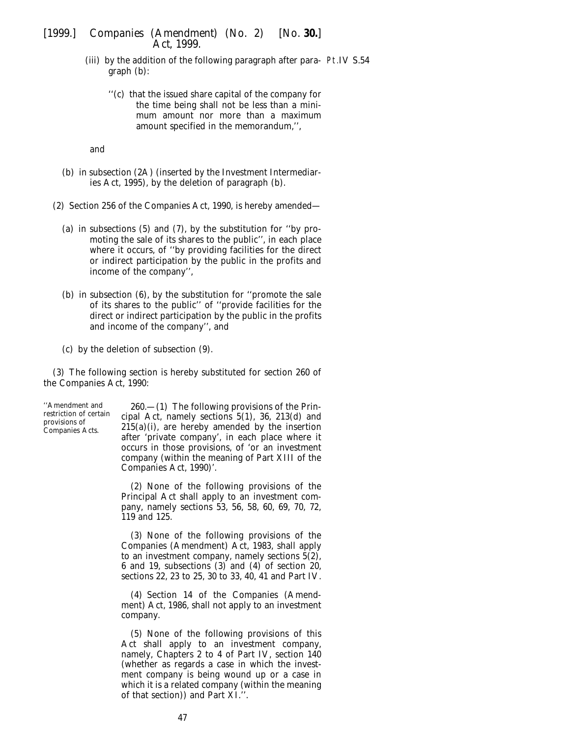- (iii) by the addition of the following paragraph after para-Pt.IV S.54graph (*b*):
	- ''(*c*) that the issued share capital of the company for the time being shall not be less than a minimum amount nor more than a maximum amount specified in the memorandum,'',

and

- (*b*) in subsection (2A) (inserted by the Investment Intermediaries Act, 1995), by the deletion of paragraph (*b*).
- (2) Section 256 of the Companies Act, 1990, is hereby amended—
	- (*a*) in subsections (5) and (7), by the substitution for ''by promoting the sale of its shares to the public'', in each place where it occurs, of ''by providing facilities for the direct or indirect participation by the public in the profits and income of the company'',
	- (*b*) in subsection (6), by the substitution for ''promote the sale of its shares to the public'' of ''provide facilities for the direct or indirect participation by the public in the profits and income of the company'', and
	- (*c*) by the deletion of subsection (9).

(3) The following section is hereby substituted for section 260 of the Companies Act, 1990:

"Amendment and 260.—(1) The following provisions of the Prin-<br>restriction of certain cipal Act, namely sections 5(1), 36, 213(*d*) and<br>provisions of 215(*a*)(i), are hereby amended by the insertion<br>after 'private company' occurs in those provisions, of 'or an investment company (within the meaning of Part XIII of the Companies Act, 1990)'.

> (2) None of the following provisions of the Principal Act shall apply to an investment company, namely sections 53, 56, 58, 60, 69, 70, 72, 119 and 125.

> (3) None of the following provisions of the Companies (Amendment) Act, 1983, shall apply to an investment company, namely sections 5(2), 6 and 19, subsections (3) and (4) of section 20, sections 22, 23 to 25, 30 to 33, 40, 41 and Part IV.

> (4) Section 14 of the Companies (Amendment) Act, 1986, shall not apply to an investment company.

> (5) None of the following provisions of this Act shall apply to an investment company, namely, Chapters 2 to 4 of Part IV, section 140 (whether as regards a case in which the investment company is being wound up or a case in which it is a related company (within the meaning of that section)) and Part XI."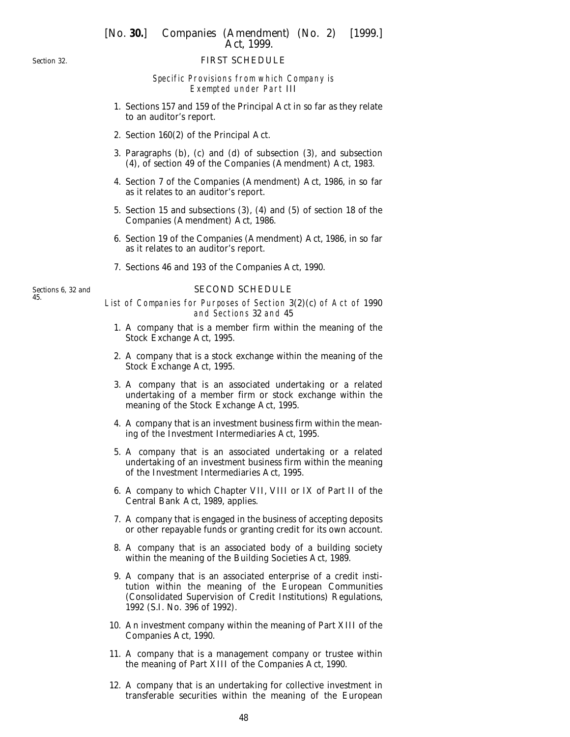# FIRST SCHEDULE

Specific Provisions from which Company is Exempted under Part *III*

- 1. Sections 157 and 159 of the Principal Act in so far as they relate to an auditor's report.
- 2. Section 160(2) of the Principal Act.
- 3. Paragraphs (*b*), (*c*) and (*d*) of subsection (3), and subsection (4), of section 49 of the Companies (Amendment) Act, 1983.
- 4. Section 7 of the Companies (Amendment) Act, 1986, in so far as it relates to an auditor's report.
- 5. Section 15 and subsections (3), (4) and (5) of section 18 of the Companies (Amendment) Act, 1986.
- 6. Section 19 of the Companies (Amendment) Act, 1986, in so far as it relates to an auditor's report.
- 7. Sections 46 and 193 of the Companies Act, 1990.

*Sections 6, 32 and 45.*

#### SECOND SCHEDULE

List of Companies for Purposes of Section 3(2)(*c*) of Act of 1990 and Sections *32* and *45*

- 1. A company that is a member firm within the meaning of the Stock Exchange Act, 1995.
- 2. A company that is a stock exchange within the meaning of the Stock Exchange Act, 1995.
- 3. A company that is an associated undertaking or a related undertaking of a member firm or stock exchange within the meaning of the Stock Exchange Act, 1995.
- 4. A company that is an investment business firm within the meaning of the Investment Intermediaries Act, 1995.
- 5. A company that is an associated undertaking or a related undertaking of an investment business firm within the meaning of the Investment Intermediaries Act, 1995.
- 6. A company to which Chapter VII, VIII or IX of Part II of the Central Bank Act, 1989, applies.
- 7. A company that is engaged in the business of accepting deposits or other repayable funds or granting credit for its own account.
- 8. A company that is an associated body of a building society within the meaning of the Building Societies Act, 1989.
- 9. A company that is an associated enterprise of a credit institution within the meaning of the European Communities (Consolidated Supervision of Credit Institutions) Regulations, 1992 (S.I. No. 396 of 1992).
- 10. An investment company within the meaning of Part XIII of the Companies Act, 1990.
- 11. A company that is a management company or trustee within the meaning of Part XIII of the Companies Act, 1990.
- 12. A company that is an undertaking for collective investment in transferable securities within the meaning of the European

48

<span id="page-47-0"></span>*Section 32.*